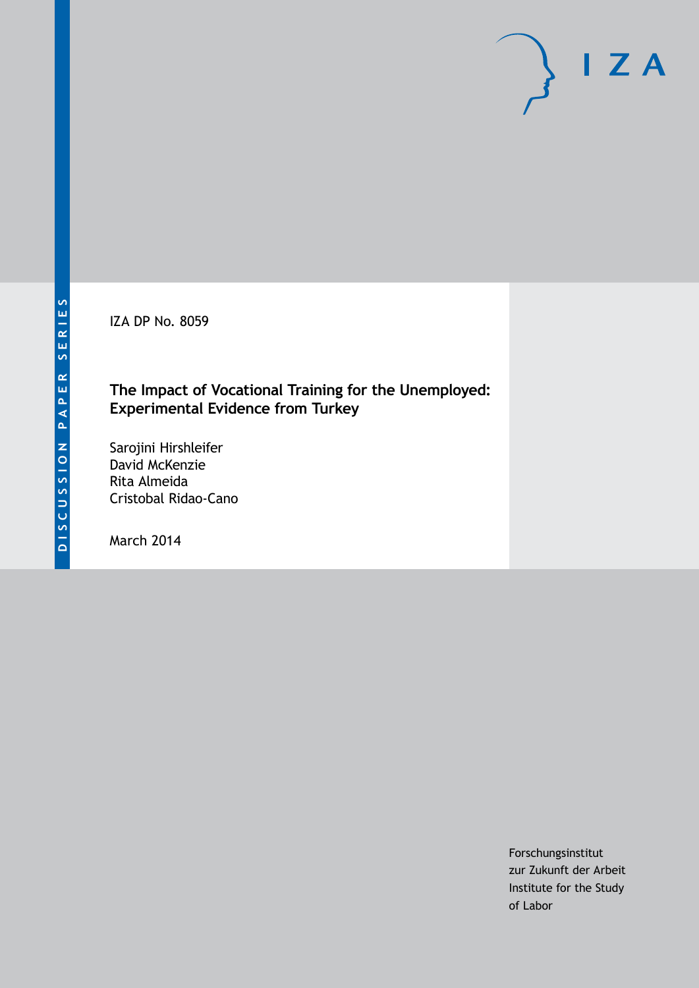IZA DP No. 8059

# **The Impact of Vocational Training for the Unemployed: Experimental Evidence from Turkey**

Sarojini Hirshleifer David McKenzie Rita Almeida Cristobal Ridao-Cano

March 2014

Forschungsinstitut zur Zukunft der Arbeit Institute for the Study of Labor

 $I Z A$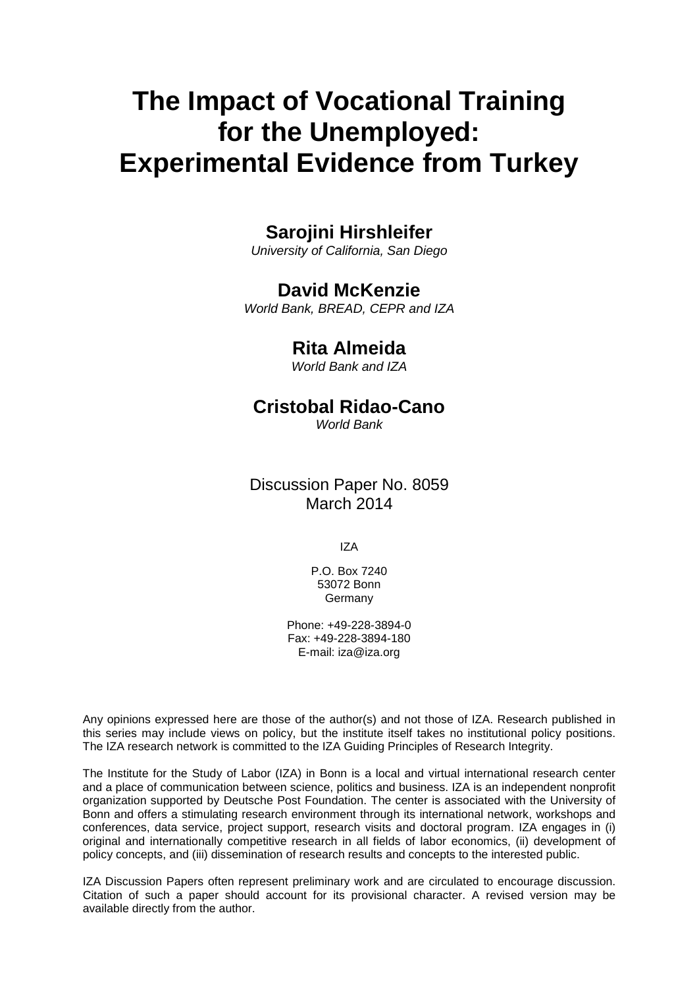# **The Impact of Vocational Training for the Unemployed: Experimental Evidence from Turkey**

# **Sarojini Hirshleifer**

*University of California, San Diego*

# **David McKenzie**

*World Bank, BREAD, CEPR and IZA*

# **Rita Almeida**

*World Bank and IZA*

# **Cristobal Ridao-Cano**

*World Bank*

Discussion Paper No. 8059 March 2014

IZA

P.O. Box 7240 53072 Bonn **Germany** 

Phone: +49-228-3894-0 Fax: +49-228-3894-180 E-mail: [iza@iza.org](mailto:iza@iza.org)

Any opinions expressed here are those of the author(s) and not those of IZA. Research published in this series may include views on policy, but the institute itself takes no institutional policy positions. The IZA research network is committed to the IZA Guiding Principles of Research Integrity.

The Institute for the Study of Labor (IZA) in Bonn is a local and virtual international research center and a place of communication between science, politics and business. IZA is an independent nonprofit organization supported by Deutsche Post Foundation. The center is associated with the University of Bonn and offers a stimulating research environment through its international network, workshops and conferences, data service, project support, research visits and doctoral program. IZA engages in (i) original and internationally competitive research in all fields of labor economics, (ii) development of policy concepts, and (iii) dissemination of research results and concepts to the interested public.

<span id="page-1-0"></span>IZA Discussion Papers often represent preliminary work and are circulated to encourage discussion. Citation of such a paper should account for its provisional character. A revised version may be available directly from the author.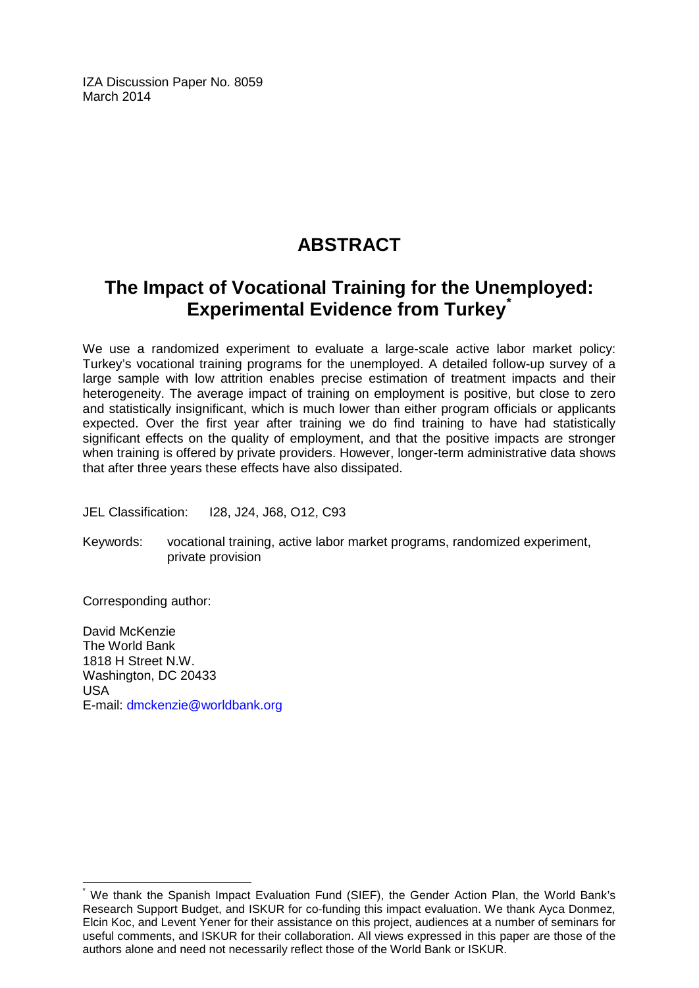IZA Discussion Paper No. 8059 March 2014

# **ABSTRACT**

# **The Impact of Vocational Training for the Unemployed: Experimental Evidence from Turkey[\\*](#page-1-0)**

We use a randomized experiment to evaluate a large-scale active labor market policy: Turkey's vocational training programs for the unemployed. A detailed follow-up survey of a large sample with low attrition enables precise estimation of treatment impacts and their heterogeneity. The average impact of training on employment is positive, but close to zero and statistically insignificant, which is much lower than either program officials or applicants expected. Over the first year after training we do find training to have had statistically significant effects on the quality of employment, and that the positive impacts are stronger when training is offered by private providers. However, longer-term administrative data shows that after three years these effects have also dissipated.

JEL Classification: I28, J24, J68, O12, C93

Keywords: vocational training, active labor market programs, randomized experiment, private provision

Corresponding author:

David McKenzie The World Bank 1818 H Street N.W. Washington, DC 20433 USA E-mail: [dmckenzie@worldbank.org](mailto:dmckenzie@worldbank.org)

We thank the Spanish Impact Evaluation Fund (SIEF), the Gender Action Plan, the World Bank's Research Support Budget, and ISKUR for co-funding this impact evaluation. We thank Ayca Donmez, Elcin Koc, and Levent Yener for their assistance on this project, audiences at a number of seminars for useful comments, and ISKUR for their collaboration. All views expressed in this paper are those of the authors alone and need not necessarily reflect those of the World Bank or ISKUR.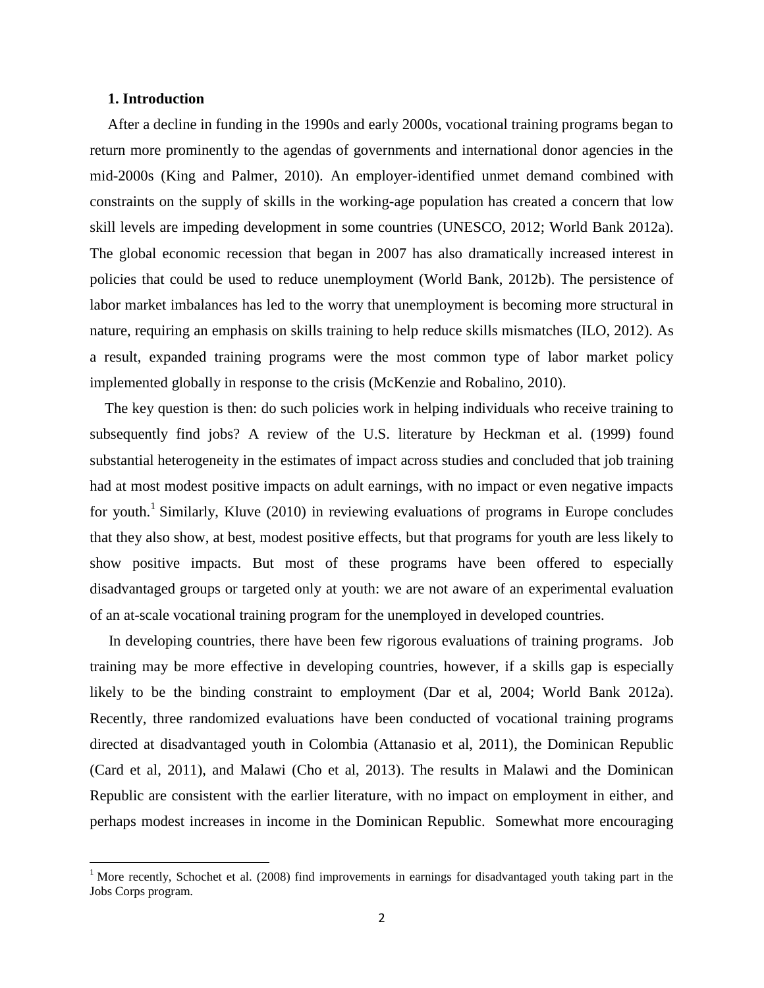# **1. Introduction**

 $\overline{\phantom{a}}$ 

After a decline in funding in the 1990s and early 2000s, vocational training programs began to return more prominently to the agendas of governments and international donor agencies in the mid-2000s (King and Palmer, 2010). An employer-identified unmet demand combined with constraints on the supply of skills in the working-age population has created a concern that low skill levels are impeding development in some countries (UNESCO, 2012; World Bank 2012a). The global economic recession that began in 2007 has also dramatically increased interest in policies that could be used to reduce unemployment (World Bank, 2012b). The persistence of labor market imbalances has led to the worry that unemployment is becoming more structural in nature, requiring an emphasis on skills training to help reduce skills mismatches (ILO, 2012). As a result, expanded training programs were the most common type of labor market policy implemented globally in response to the crisis (McKenzie and Robalino, 2010).

 The key question is then: do such policies work in helping individuals who receive training to subsequently find jobs? A review of the U.S. literature by Heckman et al. (1999) found substantial heterogeneity in the estimates of impact across studies and concluded that job training had at most modest positive impacts on adult earnings, with no impact or even negative impacts for youth.<sup>1</sup> Similarly, Kluve (2010) in reviewing evaluations of programs in Europe concludes that they also show, at best, modest positive effects, but that programs for youth are less likely to show positive impacts. But most of these programs have been offered to especially disadvantaged groups or targeted only at youth: we are not aware of an experimental evaluation of an at-scale vocational training program for the unemployed in developed countries.

 In developing countries, there have been few rigorous evaluations of training programs. Job training may be more effective in developing countries, however, if a skills gap is especially likely to be the binding constraint to employment (Dar et al, 2004; World Bank 2012a). Recently, three randomized evaluations have been conducted of vocational training programs directed at disadvantaged youth in Colombia (Attanasio et al, 2011), the Dominican Republic (Card et al, 2011), and Malawi (Cho et al, 2013). The results in Malawi and the Dominican Republic are consistent with the earlier literature, with no impact on employment in either, and perhaps modest increases in income in the Dominican Republic. Somewhat more encouraging

<sup>&</sup>lt;sup>1</sup> More recently, Schochet et al. (2008) find improvements in earnings for disadvantaged youth taking part in the Jobs Corps program.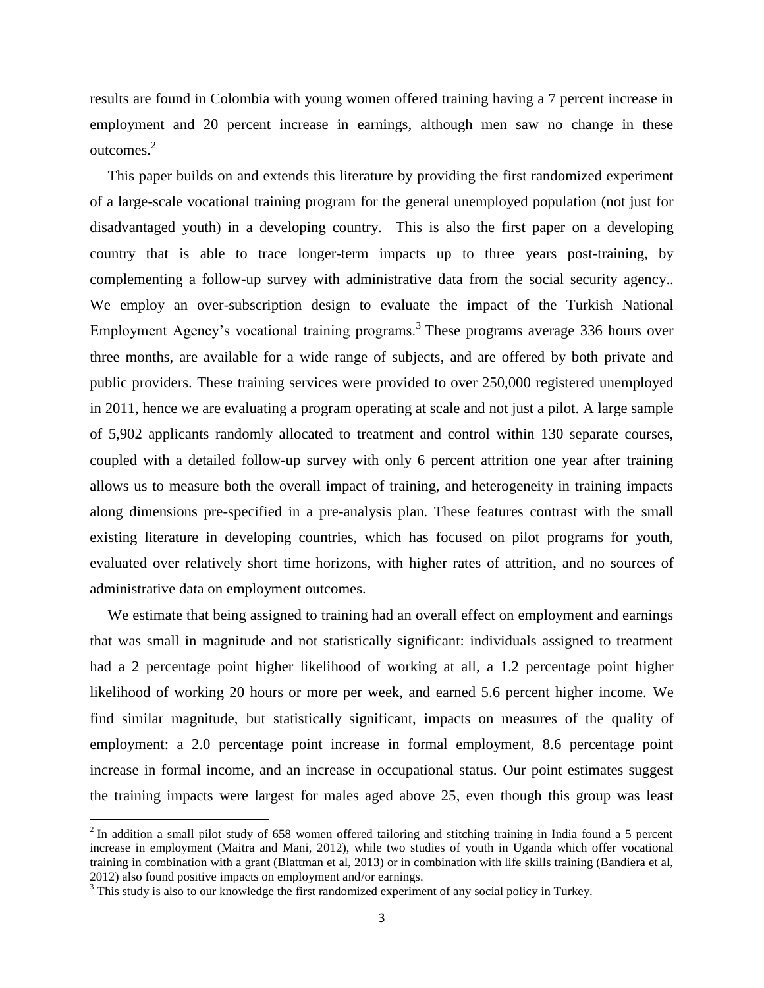results are found in Colombia with young women offered training having a 7 percent increase in employment and 20 percent increase in earnings, although men saw no change in these outcomes.<sup>2</sup>

This paper builds on and extends this literature by providing the first randomized experiment of a large-scale vocational training program for the general unemployed population (not just for disadvantaged youth) in a developing country. This is also the first paper on a developing country that is able to trace longer-term impacts up to three years post-training, by complementing a follow-up survey with administrative data from the social security agency.. We employ an over-subscription design to evaluate the impact of the Turkish National Employment Agency's vocational training programs.<sup>3</sup> These programs average 336 hours over three months, are available for a wide range of subjects, and are offered by both private and public providers. These training services were provided to over 250,000 registered unemployed in 2011, hence we are evaluating a program operating at scale and not just a pilot. A large sample of 5,902 applicants randomly allocated to treatment and control within 130 separate courses, coupled with a detailed follow-up survey with only 6 percent attrition one year after training allows us to measure both the overall impact of training, and heterogeneity in training impacts along dimensions pre-specified in a pre-analysis plan. These features contrast with the small existing literature in developing countries, which has focused on pilot programs for youth, evaluated over relatively short time horizons, with higher rates of attrition, and no sources of administrative data on employment outcomes.

We estimate that being assigned to training had an overall effect on employment and earnings that was small in magnitude and not statistically significant: individuals assigned to treatment had a 2 percentage point higher likelihood of working at all, a 1.2 percentage point higher likelihood of working 20 hours or more per week, and earned 5.6 percent higher income. We find similar magnitude, but statistically significant, impacts on measures of the quality of employment: a 2.0 percentage point increase in formal employment, 8.6 percentage point increase in formal income, and an increase in occupational status. Our point estimates suggest the training impacts were largest for males aged above 25, even though this group was least

 $\overline{a}$ 

 $2$  In addition a small pilot study of 658 women offered tailoring and stitching training in India found a 5 percent increase in employment (Maitra and Mani, 2012), while two studies of youth in Uganda which offer vocational training in combination with a grant (Blattman et al, 2013) or in combination with life skills training (Bandiera et al, 2012) also found positive impacts on employment and/or earnings.

<sup>&</sup>lt;sup>3</sup> This study is also to our knowledge the first randomized experiment of any social policy in Turkey.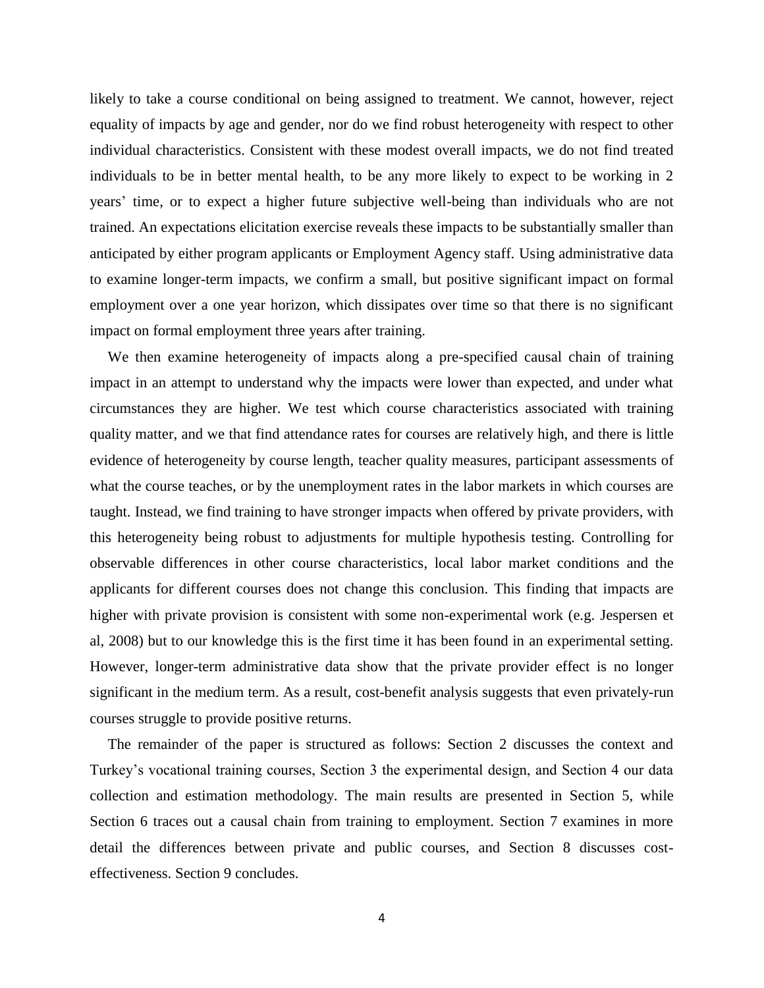likely to take a course conditional on being assigned to treatment. We cannot, however, reject equality of impacts by age and gender, nor do we find robust heterogeneity with respect to other individual characteristics. Consistent with these modest overall impacts, we do not find treated individuals to be in better mental health, to be any more likely to expect to be working in 2 years' time, or to expect a higher future subjective well-being than individuals who are not trained. An expectations elicitation exercise reveals these impacts to be substantially smaller than anticipated by either program applicants or Employment Agency staff. Using administrative data to examine longer-term impacts, we confirm a small, but positive significant impact on formal employment over a one year horizon, which dissipates over time so that there is no significant impact on formal employment three years after training.

We then examine heterogeneity of impacts along a pre-specified causal chain of training impact in an attempt to understand why the impacts were lower than expected, and under what circumstances they are higher. We test which course characteristics associated with training quality matter, and we that find attendance rates for courses are relatively high, and there is little evidence of heterogeneity by course length, teacher quality measures, participant assessments of what the course teaches, or by the unemployment rates in the labor markets in which courses are taught. Instead, we find training to have stronger impacts when offered by private providers, with this heterogeneity being robust to adjustments for multiple hypothesis testing. Controlling for observable differences in other course characteristics, local labor market conditions and the applicants for different courses does not change this conclusion. This finding that impacts are higher with private provision is consistent with some non-experimental work (e.g. Jespersen et al, 2008) but to our knowledge this is the first time it has been found in an experimental setting. However, longer-term administrative data show that the private provider effect is no longer significant in the medium term. As a result, cost-benefit analysis suggests that even privately-run courses struggle to provide positive returns.

The remainder of the paper is structured as follows: Section 2 discusses the context and Turkey's vocational training courses, Section 3 the experimental design, and Section 4 our data collection and estimation methodology. The main results are presented in Section 5, while Section 6 traces out a causal chain from training to employment. Section 7 examines in more detail the differences between private and public courses, and Section 8 discusses costeffectiveness. Section 9 concludes.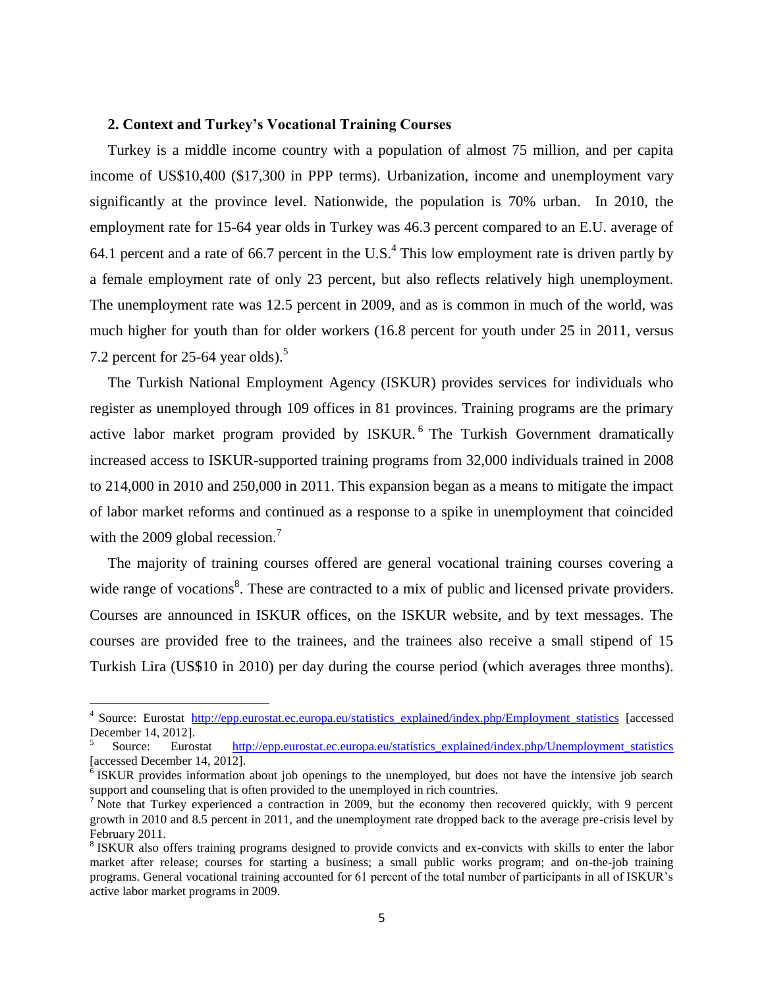# **2. Context and Turkey's Vocational Training Courses**

Turkey is a middle income country with a population of almost 75 million, and per capita income of US\$10,400 (\$17,300 in PPP terms). Urbanization, income and unemployment vary significantly at the province level. Nationwide, the population is 70% urban. In 2010, the employment rate for 15-64 year olds in Turkey was 46.3 percent compared to an E.U. average of 64.1 percent and a rate of 66.7 percent in the U.S.<sup>4</sup> This low employment rate is driven partly by a female employment rate of only 23 percent, but also reflects relatively high unemployment. The unemployment rate was 12.5 percent in 2009, and as is common in much of the world, was much higher for youth than for older workers (16.8 percent for youth under 25 in 2011, versus 7.2 percent for 25-64 year olds).<sup>5</sup>

The Turkish National Employment Agency (ISKUR) provides services for individuals who register as unemployed through 109 offices in 81 provinces. Training programs are the primary active labor market program provided by ISKUR.<sup>6</sup> The Turkish Government dramatically increased access to ISKUR-supported training programs from 32,000 individuals trained in 2008 to 214,000 in 2010 and 250,000 in 2011. This expansion began as a means to mitigate the impact of labor market reforms and continued as a response to a spike in unemployment that coincided with the 2009 global recession.<sup>7</sup>

The majority of training courses offered are general vocational training courses covering a wide range of vocations<sup>8</sup>. These are contracted to a mix of public and licensed private providers. Courses are announced in ISKUR offices, on the ISKUR website, and by text messages. The courses are provided free to the trainees, and the trainees also receive a small stipend of 15 Turkish Lira (US\$10 in 2010) per day during the course period (which averages three months).

 $\overline{\phantom{a}}$ 

<sup>&</sup>lt;sup>4</sup> Source: Eurostat http://epp.eurostat.ec.europa.eu/statistics explained/index.php/Employment statistics [accessed December 14, 2012].

<sup>5</sup> Source: Eurostat http://epp.eurostat.ec.europa.eu/statistics explained/index.php/Unemployment statistics [accessed December 14, 2012].

 $\overline{6}$  ISKUR provides information about job openings to the unemployed, but does not have the intensive job search support and counseling that is often provided to the unemployed in rich countries.

<sup>&</sup>lt;sup>7</sup> Note that Turkey experienced a contraction in 2009, but the economy then recovered quickly, with 9 percent growth in 2010 and 8.5 percent in 2011, and the unemployment rate dropped back to the average pre-crisis level by February 2011.

<sup>&</sup>lt;sup>8</sup> ISKUR also offers training programs designed to provide convicts and ex-convicts with skills to enter the labor market after release; courses for starting a business; a small public works program; and on-the-job training programs. General vocational training accounted for 61 percent of the total number of participants in all of ISKUR's active labor market programs in 2009.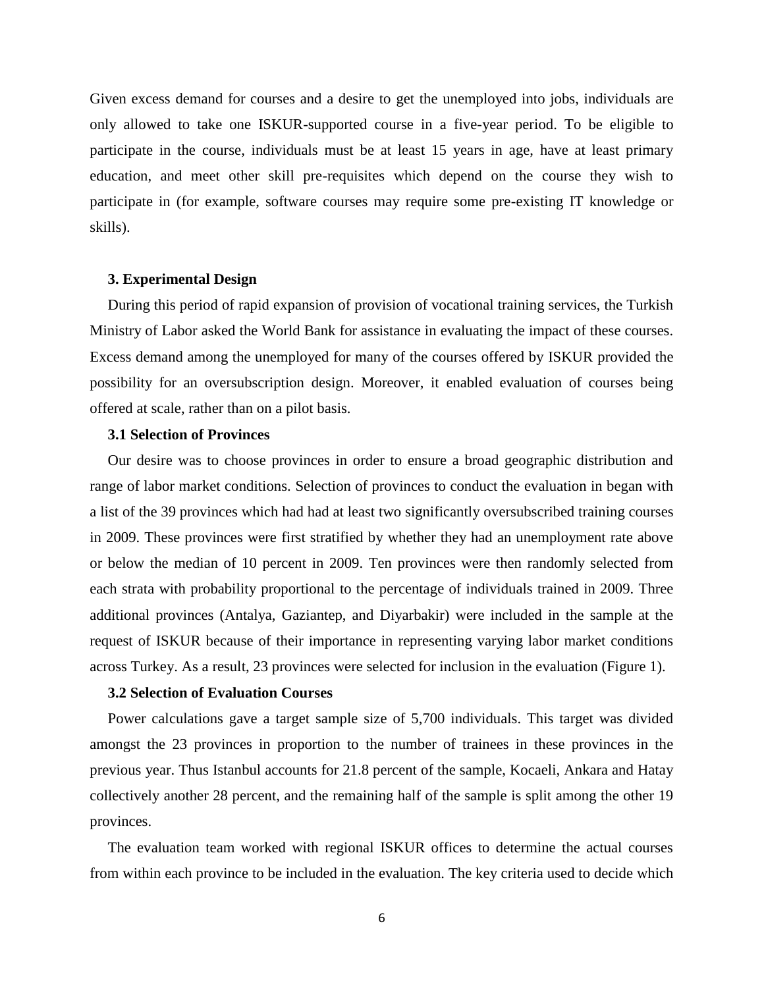Given excess demand for courses and a desire to get the unemployed into jobs, individuals are only allowed to take one ISKUR-supported course in a five-year period. To be eligible to participate in the course, individuals must be at least 15 years in age, have at least primary education, and meet other skill pre-requisites which depend on the course they wish to participate in (for example, software courses may require some pre-existing IT knowledge or skills).

#### **3. Experimental Design**

During this period of rapid expansion of provision of vocational training services, the Turkish Ministry of Labor asked the World Bank for assistance in evaluating the impact of these courses. Excess demand among the unemployed for many of the courses offered by ISKUR provided the possibility for an oversubscription design. Moreover, it enabled evaluation of courses being offered at scale, rather than on a pilot basis.

# **3.1 Selection of Provinces**

Our desire was to choose provinces in order to ensure a broad geographic distribution and range of labor market conditions. Selection of provinces to conduct the evaluation in began with a list of the 39 provinces which had had at least two significantly oversubscribed training courses in 2009. These provinces were first stratified by whether they had an unemployment rate above or below the median of 10 percent in 2009. Ten provinces were then randomly selected from each strata with probability proportional to the percentage of individuals trained in 2009. Three additional provinces (Antalya, Gaziantep, and Diyarbakir) were included in the sample at the request of ISKUR because of their importance in representing varying labor market conditions across Turkey. As a result, 23 provinces were selected for inclusion in the evaluation (Figure 1).

# **3.2 Selection of Evaluation Courses**

Power calculations gave a target sample size of 5,700 individuals. This target was divided amongst the 23 provinces in proportion to the number of trainees in these provinces in the previous year. Thus Istanbul accounts for 21.8 percent of the sample, Kocaeli, Ankara and Hatay collectively another 28 percent, and the remaining half of the sample is split among the other 19 provinces.

The evaluation team worked with regional ISKUR offices to determine the actual courses from within each province to be included in the evaluation. The key criteria used to decide which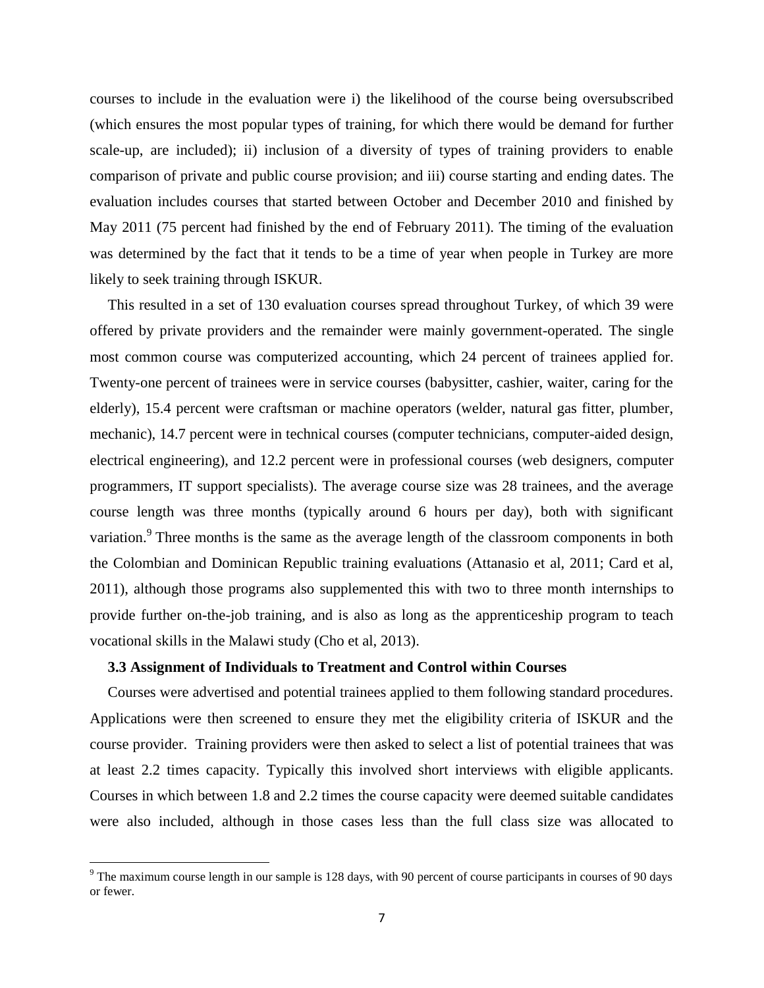courses to include in the evaluation were i) the likelihood of the course being oversubscribed (which ensures the most popular types of training, for which there would be demand for further scale-up, are included); ii) inclusion of a diversity of types of training providers to enable comparison of private and public course provision; and iii) course starting and ending dates. The evaluation includes courses that started between October and December 2010 and finished by May 2011 (75 percent had finished by the end of February 2011). The timing of the evaluation was determined by the fact that it tends to be a time of year when people in Turkey are more likely to seek training through ISKUR.

This resulted in a set of 130 evaluation courses spread throughout Turkey, of which 39 were offered by private providers and the remainder were mainly government-operated. The single most common course was computerized accounting, which 24 percent of trainees applied for. Twenty-one percent of trainees were in service courses (babysitter, cashier, waiter, caring for the elderly), 15.4 percent were craftsman or machine operators (welder, natural gas fitter, plumber, mechanic), 14.7 percent were in technical courses (computer technicians, computer-aided design, electrical engineering), and 12.2 percent were in professional courses (web designers, computer programmers, IT support specialists). The average course size was 28 trainees, and the average course length was three months (typically around 6 hours per day), both with significant variation.<sup>9</sup> Three months is the same as the average length of the classroom components in both the Colombian and Dominican Republic training evaluations (Attanasio et al, 2011; Card et al, 2011), although those programs also supplemented this with two to three month internships to provide further on-the-job training, and is also as long as the apprenticeship program to teach vocational skills in the Malawi study (Cho et al, 2013).

# **3.3 Assignment of Individuals to Treatment and Control within Courses**

 $\overline{\phantom{a}}$ 

Courses were advertised and potential trainees applied to them following standard procedures. Applications were then screened to ensure they met the eligibility criteria of ISKUR and the course provider. Training providers were then asked to select a list of potential trainees that was at least 2.2 times capacity. Typically this involved short interviews with eligible applicants. Courses in which between 1.8 and 2.2 times the course capacity were deemed suitable candidates were also included, although in those cases less than the full class size was allocated to

 $9^9$  The maximum course length in our sample is 128 days, with 90 percent of course participants in courses of 90 days or fewer.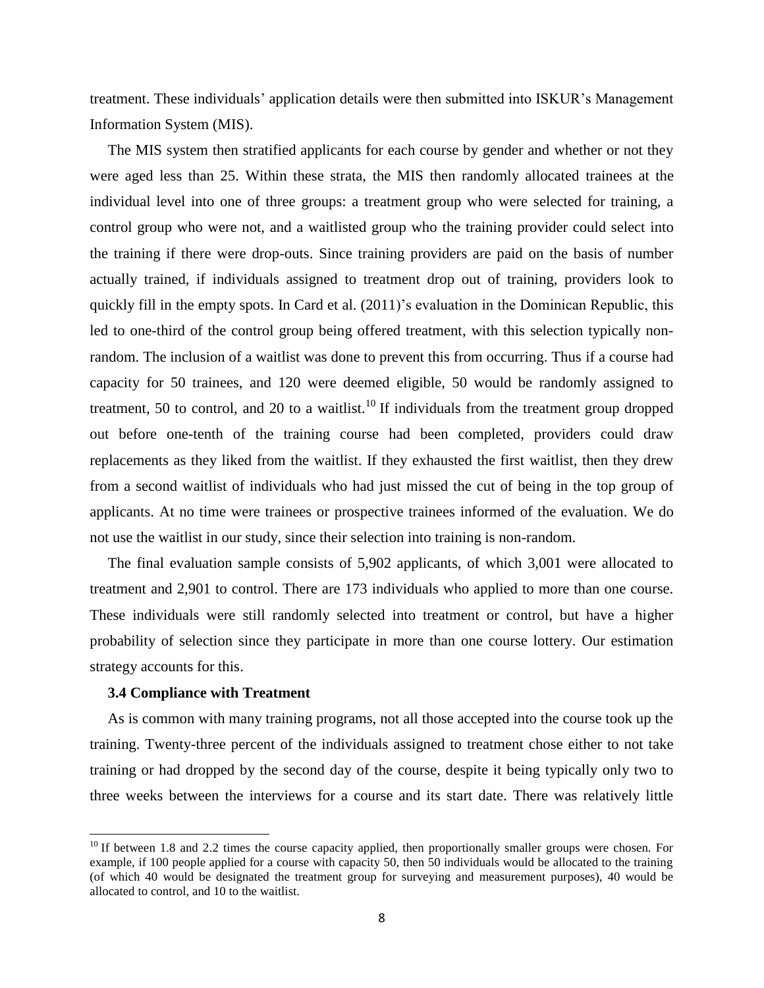treatment. These individuals' application details were then submitted into ISKUR's Management Information System (MIS).

The MIS system then stratified applicants for each course by gender and whether or not they were aged less than 25. Within these strata, the MIS then randomly allocated trainees at the individual level into one of three groups: a treatment group who were selected for training, a control group who were not, and a waitlisted group who the training provider could select into the training if there were drop-outs. Since training providers are paid on the basis of number actually trained, if individuals assigned to treatment drop out of training, providers look to quickly fill in the empty spots. In Card et al. (2011)'s evaluation in the Dominican Republic, this led to one-third of the control group being offered treatment, with this selection typically nonrandom. The inclusion of a waitlist was done to prevent this from occurring. Thus if a course had capacity for 50 trainees, and 120 were deemed eligible, 50 would be randomly assigned to treatment, 50 to control, and 20 to a waitlist.<sup>10</sup> If individuals from the treatment group dropped out before one-tenth of the training course had been completed, providers could draw replacements as they liked from the waitlist. If they exhausted the first waitlist, then they drew from a second waitlist of individuals who had just missed the cut of being in the top group of applicants. At no time were trainees or prospective trainees informed of the evaluation. We do not use the waitlist in our study, since their selection into training is non-random.

The final evaluation sample consists of 5,902 applicants, of which 3,001 were allocated to treatment and 2,901 to control. There are 173 individuals who applied to more than one course. These individuals were still randomly selected into treatment or control, but have a higher probability of selection since they participate in more than one course lottery. Our estimation strategy accounts for this.

# **3.4 Compliance with Treatment**

 $\overline{\phantom{a}}$ 

As is common with many training programs, not all those accepted into the course took up the training. Twenty-three percent of the individuals assigned to treatment chose either to not take training or had dropped by the second day of the course, despite it being typically only two to three weeks between the interviews for a course and its start date. There was relatively little

 $10$  If between 1.8 and 2.2 times the course capacity applied, then proportionally smaller groups were chosen. For example, if 100 people applied for a course with capacity 50, then 50 individuals would be allocated to the training (of which 40 would be designated the treatment group for surveying and measurement purposes), 40 would be allocated to control, and 10 to the waitlist.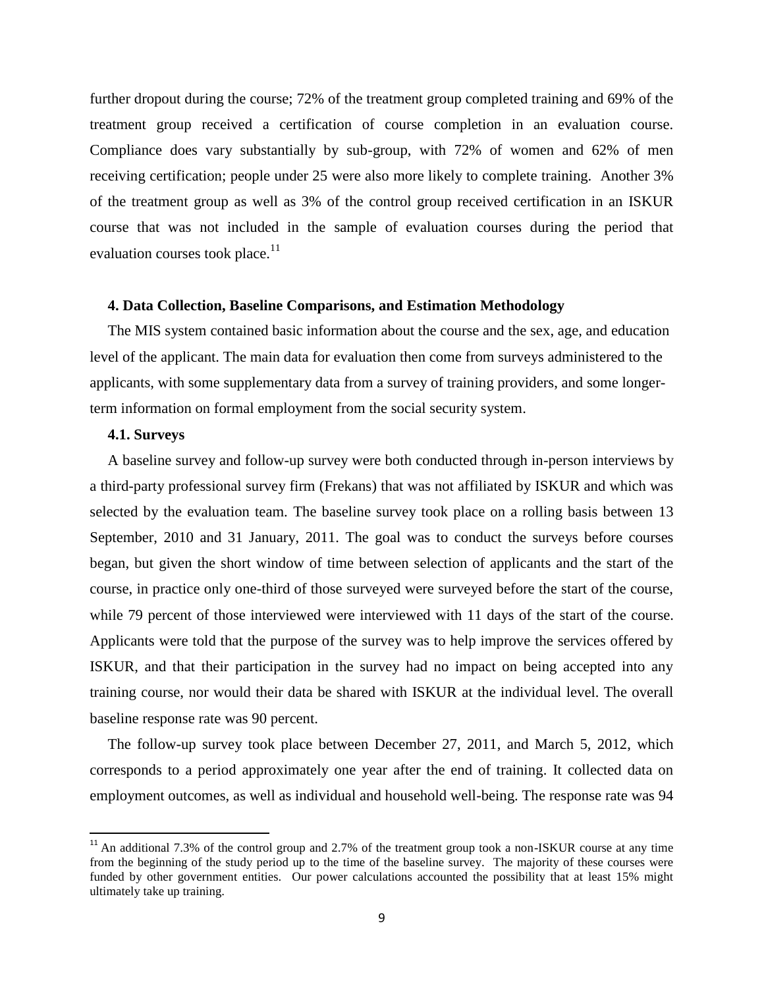further dropout during the course; 72% of the treatment group completed training and 69% of the treatment group received a certification of course completion in an evaluation course. Compliance does vary substantially by sub-group, with 72% of women and 62% of men receiving certification; people under 25 were also more likely to complete training. Another 3% of the treatment group as well as 3% of the control group received certification in an ISKUR course that was not included in the sample of evaluation courses during the period that evaluation courses took place.<sup>11</sup>

### **4. Data Collection, Baseline Comparisons, and Estimation Methodology**

The MIS system contained basic information about the course and the sex, age, and education level of the applicant. The main data for evaluation then come from surveys administered to the applicants, with some supplementary data from a survey of training providers, and some longerterm information on formal employment from the social security system.

# **4.1. Surveys**

 $\overline{\phantom{a}}$ 

A baseline survey and follow-up survey were both conducted through in-person interviews by a third-party professional survey firm (Frekans) that was not affiliated by ISKUR and which was selected by the evaluation team. The baseline survey took place on a rolling basis between 13 September, 2010 and 31 January, 2011. The goal was to conduct the surveys before courses began, but given the short window of time between selection of applicants and the start of the course, in practice only one-third of those surveyed were surveyed before the start of the course, while 79 percent of those interviewed were interviewed with 11 days of the start of the course. Applicants were told that the purpose of the survey was to help improve the services offered by ISKUR, and that their participation in the survey had no impact on being accepted into any training course, nor would their data be shared with ISKUR at the individual level. The overall baseline response rate was 90 percent.

The follow-up survey took place between December 27, 2011, and March 5, 2012, which corresponds to a period approximately one year after the end of training. It collected data on employment outcomes, as well as individual and household well-being. The response rate was 94

<sup>&</sup>lt;sup>11</sup> An additional 7.3% of the control group and 2.7% of the treatment group took a non-ISKUR course at any time from the beginning of the study period up to the time of the baseline survey. The majority of these courses were funded by other government entities. Our power calculations accounted the possibility that at least 15% might ultimately take up training.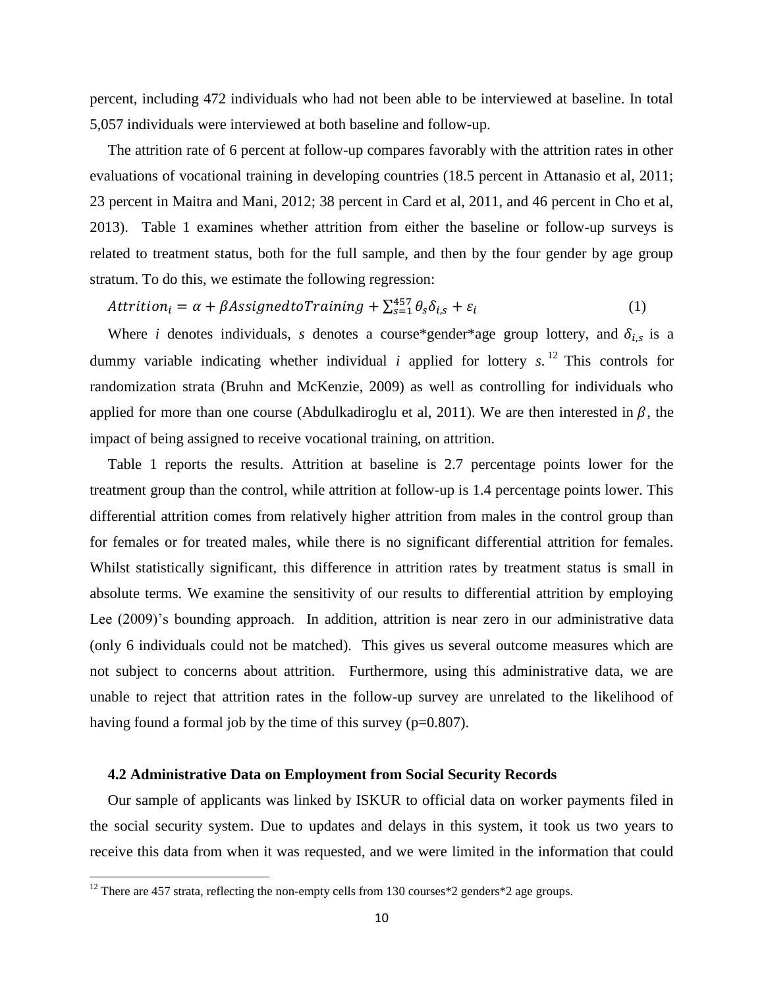percent, including 472 individuals who had not been able to be interviewed at baseline. In total 5,057 individuals were interviewed at both baseline and follow-up.

The attrition rate of 6 percent at follow-up compares favorably with the attrition rates in other evaluations of vocational training in developing countries (18.5 percent in Attanasio et al, 2011; 23 percent in Maitra and Mani, 2012; 38 percent in Card et al, 2011, and 46 percent in Cho et al, 2013). Table 1 examines whether attrition from either the baseline or follow-up surveys is related to treatment status, both for the full sample, and then by the four gender by age group stratum. To do this, we estimate the following regression:

Attrition $i_l = \alpha + \beta$ AssignedtoTraining +  $\sum_{s=1}^{457} \theta_s$ (1)

Where *i* denotes individuals, *s* denotes a course\*gender\*age group lottery, and  $\delta_{i,s}$  is a dummy variable indicating whether individual *i* applied for lottery  $s$ .<sup>12</sup> This controls for randomization strata (Bruhn and McKenzie, 2009) as well as controlling for individuals who applied for more than one course (Abdulkadiroglu et al, 2011). We are then interested in  $\beta$ , the impact of being assigned to receive vocational training, on attrition.

Table 1 reports the results. Attrition at baseline is 2.7 percentage points lower for the treatment group than the control, while attrition at follow-up is 1.4 percentage points lower. This differential attrition comes from relatively higher attrition from males in the control group than for females or for treated males, while there is no significant differential attrition for females. Whilst statistically significant, this difference in attrition rates by treatment status is small in absolute terms. We examine the sensitivity of our results to differential attrition by employing Lee (2009)'s bounding approach. In addition, attrition is near zero in our administrative data (only 6 individuals could not be matched). This gives us several outcome measures which are not subject to concerns about attrition. Furthermore, using this administrative data, we are unable to reject that attrition rates in the follow-up survey are unrelated to the likelihood of having found a formal job by the time of this survey (p=0.807).

# **4.2 Administrative Data on Employment from Social Security Records**

Our sample of applicants was linked by ISKUR to official data on worker payments filed in the social security system. Due to updates and delays in this system, it took us two years to receive this data from when it was requested, and we were limited in the information that could

 $\overline{\phantom{a}}$ 

<sup>&</sup>lt;sup>12</sup> There are 457 strata, reflecting the non-empty cells from 130 courses\*2 genders\*2 age groups.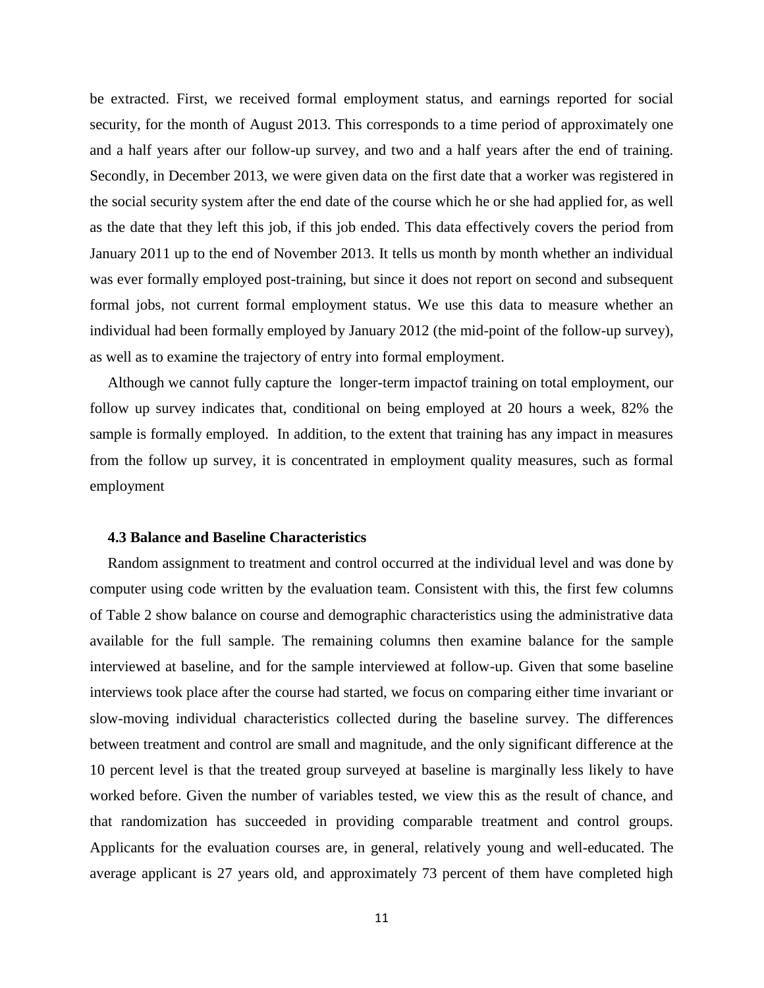be extracted. First, we received formal employment status, and earnings reported for social security, for the month of August 2013. This corresponds to a time period of approximately one and a half years after our follow-up survey, and two and a half years after the end of training. Secondly, in December 2013, we were given data on the first date that a worker was registered in the social security system after the end date of the course which he or she had applied for, as well as the date that they left this job, if this job ended. This data effectively covers the period from January 2011 up to the end of November 2013. It tells us month by month whether an individual was ever formally employed post-training, but since it does not report on second and subsequent formal jobs, not current formal employment status. We use this data to measure whether an individual had been formally employed by January 2012 (the mid-point of the follow-up survey), as well as to examine the trajectory of entry into formal employment.

Although we cannot fully capture the longer-term impactof training on total employment, our follow up survey indicates that, conditional on being employed at 20 hours a week, 82% the sample is formally employed. In addition, to the extent that training has any impact in measures from the follow up survey, it is concentrated in employment quality measures, such as formal employment

### **4.3 Balance and Baseline Characteristics**

Random assignment to treatment and control occurred at the individual level and was done by computer using code written by the evaluation team. Consistent with this, the first few columns of Table 2 show balance on course and demographic characteristics using the administrative data available for the full sample. The remaining columns then examine balance for the sample interviewed at baseline, and for the sample interviewed at follow-up. Given that some baseline interviews took place after the course had started, we focus on comparing either time invariant or slow-moving individual characteristics collected during the baseline survey. The differences between treatment and control are small and magnitude, and the only significant difference at the 10 percent level is that the treated group surveyed at baseline is marginally less likely to have worked before. Given the number of variables tested, we view this as the result of chance, and that randomization has succeeded in providing comparable treatment and control groups. Applicants for the evaluation courses are, in general, relatively young and well-educated. The average applicant is 27 years old, and approximately 73 percent of them have completed high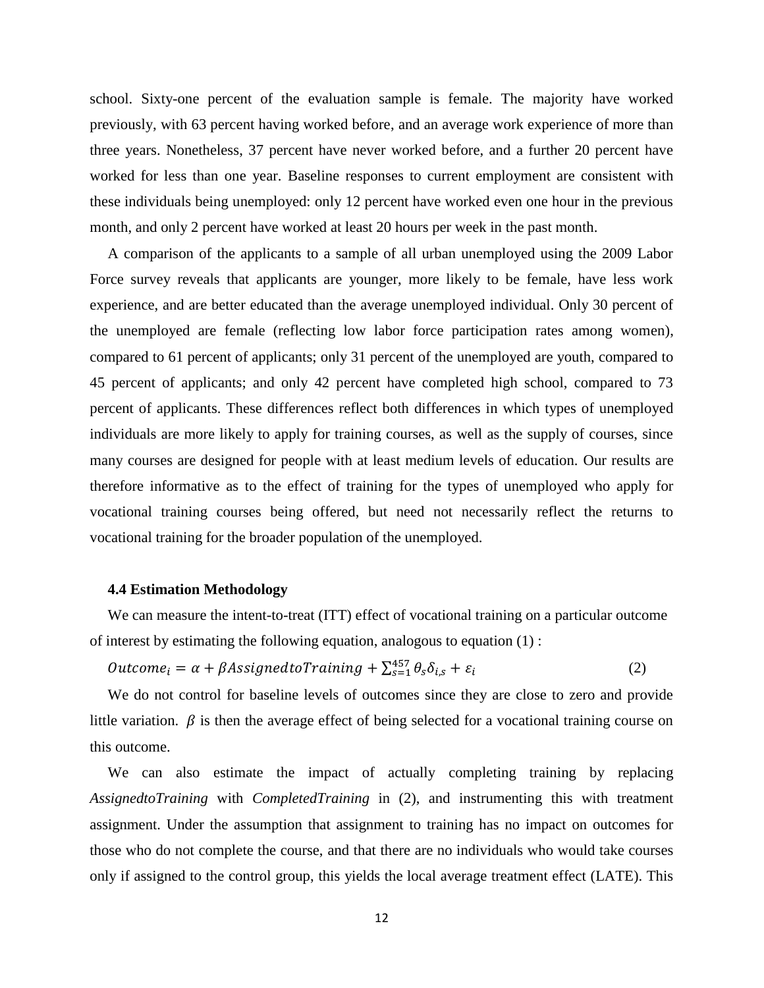school. Sixty-one percent of the evaluation sample is female. The majority have worked previously, with 63 percent having worked before, and an average work experience of more than three years. Nonetheless, 37 percent have never worked before, and a further 20 percent have worked for less than one year. Baseline responses to current employment are consistent with these individuals being unemployed: only 12 percent have worked even one hour in the previous month, and only 2 percent have worked at least 20 hours per week in the past month.

A comparison of the applicants to a sample of all urban unemployed using the 2009 Labor Force survey reveals that applicants are younger, more likely to be female, have less work experience, and are better educated than the average unemployed individual. Only 30 percent of the unemployed are female (reflecting low labor force participation rates among women), compared to 61 percent of applicants; only 31 percent of the unemployed are youth, compared to 45 percent of applicants; and only 42 percent have completed high school, compared to 73 percent of applicants. These differences reflect both differences in which types of unemployed individuals are more likely to apply for training courses, as well as the supply of courses, since many courses are designed for people with at least medium levels of education. Our results are therefore informative as to the effect of training for the types of unemployed who apply for vocational training courses being offered, but need not necessarily reflect the returns to vocational training for the broader population of the unemployed.

### **4.4 Estimation Methodology**

We can measure the intent-to-treat (ITT) effect of vocational training on a particular outcome of interest by estimating the following equation, analogous to equation (1) :

$$
Outcome_i = \alpha + \beta \text{Assignment of training} + \sum_{s=1}^{457} \theta_s \delta_{i,s} + \varepsilon_i \tag{2}
$$

We do not control for baseline levels of outcomes since they are close to zero and provide little variation.  $\beta$  is then the average effect of being selected for a vocational training course on this outcome.

We can also estimate the impact of actually completing training by replacing *AssignedtoTraining* with *CompletedTraining* in (2), and instrumenting this with treatment assignment. Under the assumption that assignment to training has no impact on outcomes for those who do not complete the course, and that there are no individuals who would take courses only if assigned to the control group, this yields the local average treatment effect (LATE). This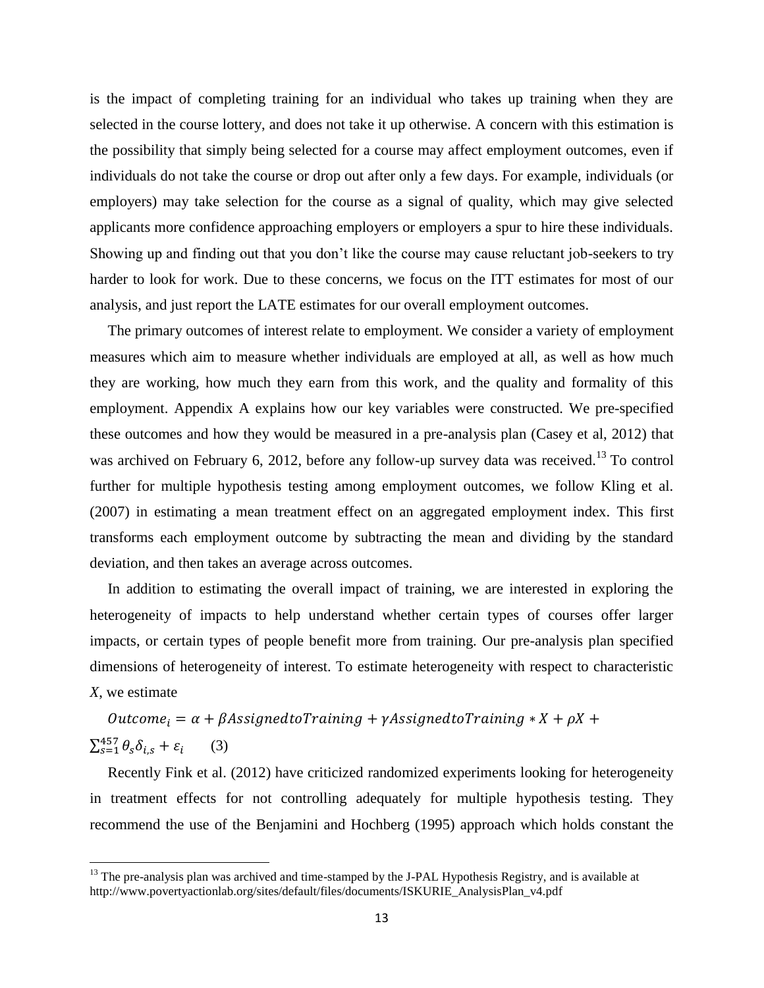is the impact of completing training for an individual who takes up training when they are selected in the course lottery, and does not take it up otherwise. A concern with this estimation is the possibility that simply being selected for a course may affect employment outcomes, even if individuals do not take the course or drop out after only a few days. For example, individuals (or employers) may take selection for the course as a signal of quality, which may give selected applicants more confidence approaching employers or employers a spur to hire these individuals. Showing up and finding out that you don't like the course may cause reluctant job-seekers to try harder to look for work. Due to these concerns, we focus on the ITT estimates for most of our analysis, and just report the LATE estimates for our overall employment outcomes.

The primary outcomes of interest relate to employment. We consider a variety of employment measures which aim to measure whether individuals are employed at all, as well as how much they are working, how much they earn from this work, and the quality and formality of this employment. Appendix A explains how our key variables were constructed. We pre-specified these outcomes and how they would be measured in a pre-analysis plan (Casey et al, 2012) that was archived on February 6, 2012, before any follow-up survey data was received.<sup>13</sup> To control further for multiple hypothesis testing among employment outcomes, we follow Kling et al. (2007) in estimating a mean treatment effect on an aggregated employment index. This first transforms each employment outcome by subtracting the mean and dividing by the standard deviation, and then takes an average across outcomes.

In addition to estimating the overall impact of training, we are interested in exploring the heterogeneity of impacts to help understand whether certain types of courses offer larger impacts, or certain types of people benefit more from training. Our pre-analysis plan specified dimensions of heterogeneity of interest. To estimate heterogeneity with respect to characteristic *X*, we estimate

 $Outcome_i = \alpha + \beta Assigned to Training + \gamma Assigned to Training * X + \rho X +$  $\sum_{s=1}^{457} \theta_s$ (3)

Recently Fink et al. (2012) have criticized randomized experiments looking for heterogeneity in treatment effects for not controlling adequately for multiple hypothesis testing. They recommend the use of the Benjamini and Hochberg (1995) approach which holds constant the

 $\overline{\phantom{a}}$ 

 $13$  The pre-analysis plan was archived and time-stamped by the J-PAL Hypothesis Registry, and is available at http://www.povertyactionlab.org/sites/default/files/documents/ISKURIE\_AnalysisPlan\_v4.pdf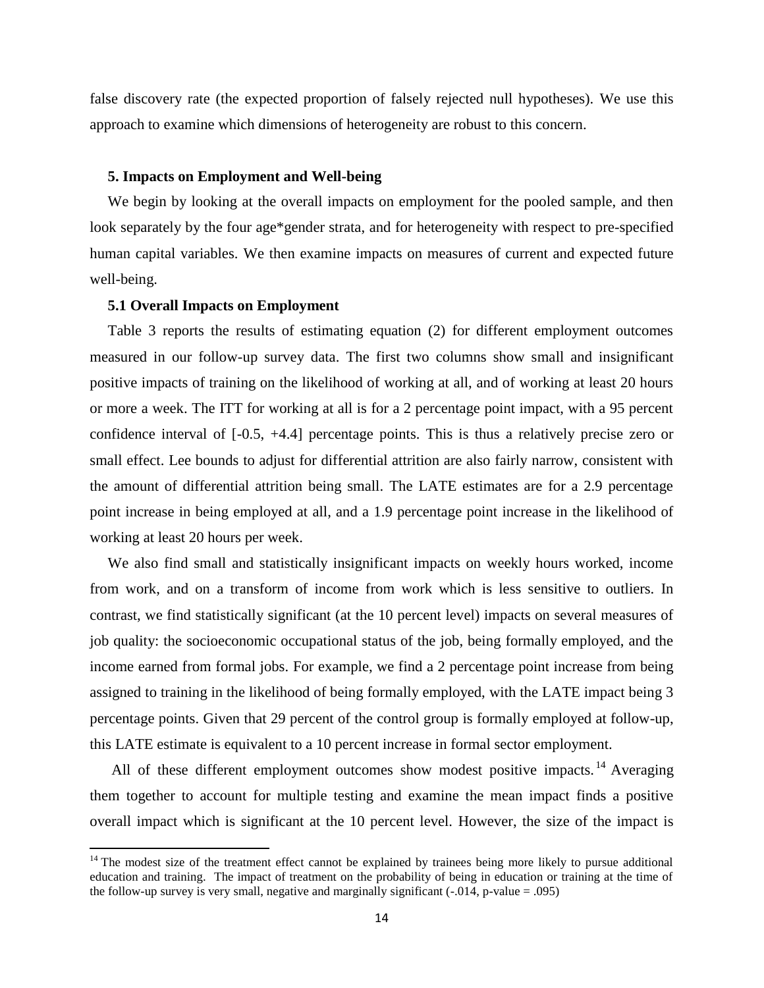false discovery rate (the expected proportion of falsely rejected null hypotheses). We use this approach to examine which dimensions of heterogeneity are robust to this concern.

### **5. Impacts on Employment and Well-being**

We begin by looking at the overall impacts on employment for the pooled sample, and then look separately by the four age\*gender strata, and for heterogeneity with respect to pre-specified human capital variables. We then examine impacts on measures of current and expected future well-being.

# **5.1 Overall Impacts on Employment**

 $\overline{\phantom{a}}$ 

Table 3 reports the results of estimating equation (2) for different employment outcomes measured in our follow-up survey data. The first two columns show small and insignificant positive impacts of training on the likelihood of working at all, and of working at least 20 hours or more a week. The ITT for working at all is for a 2 percentage point impact, with a 95 percent confidence interval of [-0.5, +4.4] percentage points. This is thus a relatively precise zero or small effect. Lee bounds to adjust for differential attrition are also fairly narrow, consistent with the amount of differential attrition being small. The LATE estimates are for a 2.9 percentage point increase in being employed at all, and a 1.9 percentage point increase in the likelihood of working at least 20 hours per week.

We also find small and statistically insignificant impacts on weekly hours worked, income from work, and on a transform of income from work which is less sensitive to outliers. In contrast, we find statistically significant (at the 10 percent level) impacts on several measures of job quality: the socioeconomic occupational status of the job, being formally employed, and the income earned from formal jobs. For example, we find a 2 percentage point increase from being assigned to training in the likelihood of being formally employed, with the LATE impact being 3 percentage points. Given that 29 percent of the control group is formally employed at follow-up, this LATE estimate is equivalent to a 10 percent increase in formal sector employment.

All of these different employment outcomes show modest positive impacts.<sup>14</sup> Averaging them together to account for multiple testing and examine the mean impact finds a positive overall impact which is significant at the 10 percent level. However, the size of the impact is

 $14$  The modest size of the treatment effect cannot be explained by trainees being more likely to pursue additional education and training. The impact of treatment on the probability of being in education or training at the time of the follow-up survey is very small, negative and marginally significant (-.014, p-value = .095)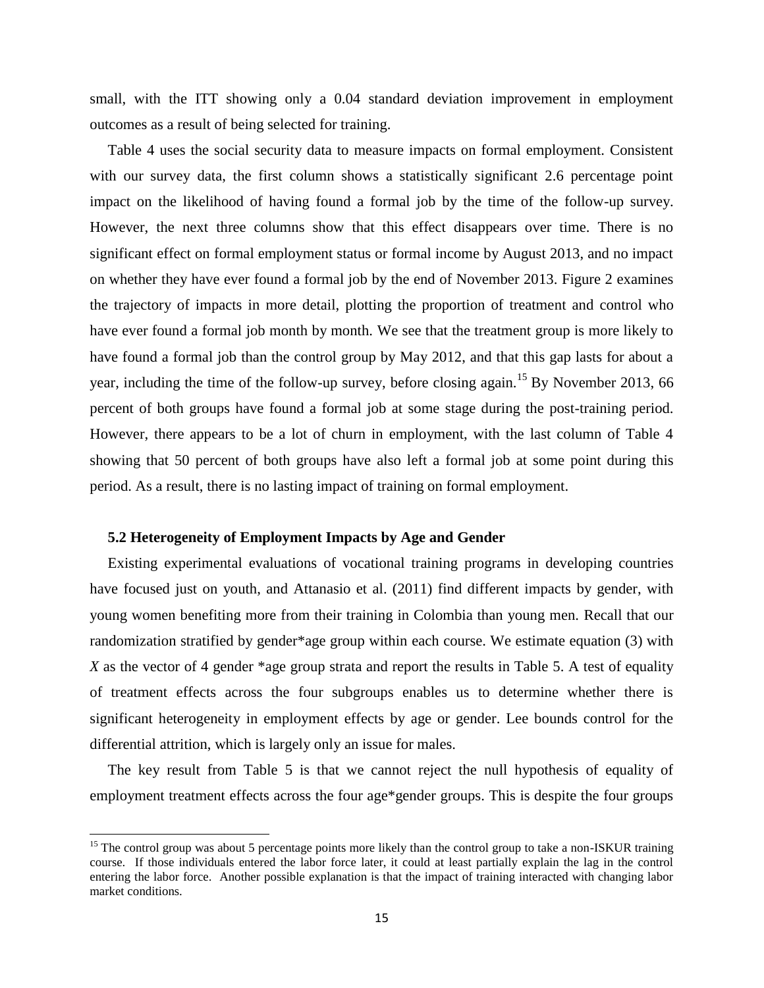small, with the ITT showing only a 0.04 standard deviation improvement in employment outcomes as a result of being selected for training.

Table 4 uses the social security data to measure impacts on formal employment. Consistent with our survey data, the first column shows a statistically significant 2.6 percentage point impact on the likelihood of having found a formal job by the time of the follow-up survey. However, the next three columns show that this effect disappears over time. There is no significant effect on formal employment status or formal income by August 2013, and no impact on whether they have ever found a formal job by the end of November 2013. Figure 2 examines the trajectory of impacts in more detail, plotting the proportion of treatment and control who have ever found a formal job month by month. We see that the treatment group is more likely to have found a formal job than the control group by May 2012, and that this gap lasts for about a year, including the time of the follow-up survey, before closing again.<sup>15</sup> By November 2013, 66 percent of both groups have found a formal job at some stage during the post-training period. However, there appears to be a lot of churn in employment, with the last column of Table 4 showing that 50 percent of both groups have also left a formal job at some point during this period. As a result, there is no lasting impact of training on formal employment.

# **5.2 Heterogeneity of Employment Impacts by Age and Gender**

 $\overline{\phantom{a}}$ 

Existing experimental evaluations of vocational training programs in developing countries have focused just on youth, and Attanasio et al. (2011) find different impacts by gender, with young women benefiting more from their training in Colombia than young men. Recall that our randomization stratified by gender\*age group within each course. We estimate equation (3) with *X* as the vector of 4 gender \*age group strata and report the results in Table 5. A test of equality of treatment effects across the four subgroups enables us to determine whether there is significant heterogeneity in employment effects by age or gender. Lee bounds control for the differential attrition, which is largely only an issue for males.

The key result from Table 5 is that we cannot reject the null hypothesis of equality of employment treatment effects across the four age\*gender groups. This is despite the four groups

<sup>&</sup>lt;sup>15</sup> The control group was about 5 percentage points more likely than the control group to take a non-ISKUR training course. If those individuals entered the labor force later, it could at least partially explain the lag in the control entering the labor force. Another possible explanation is that the impact of training interacted with changing labor market conditions.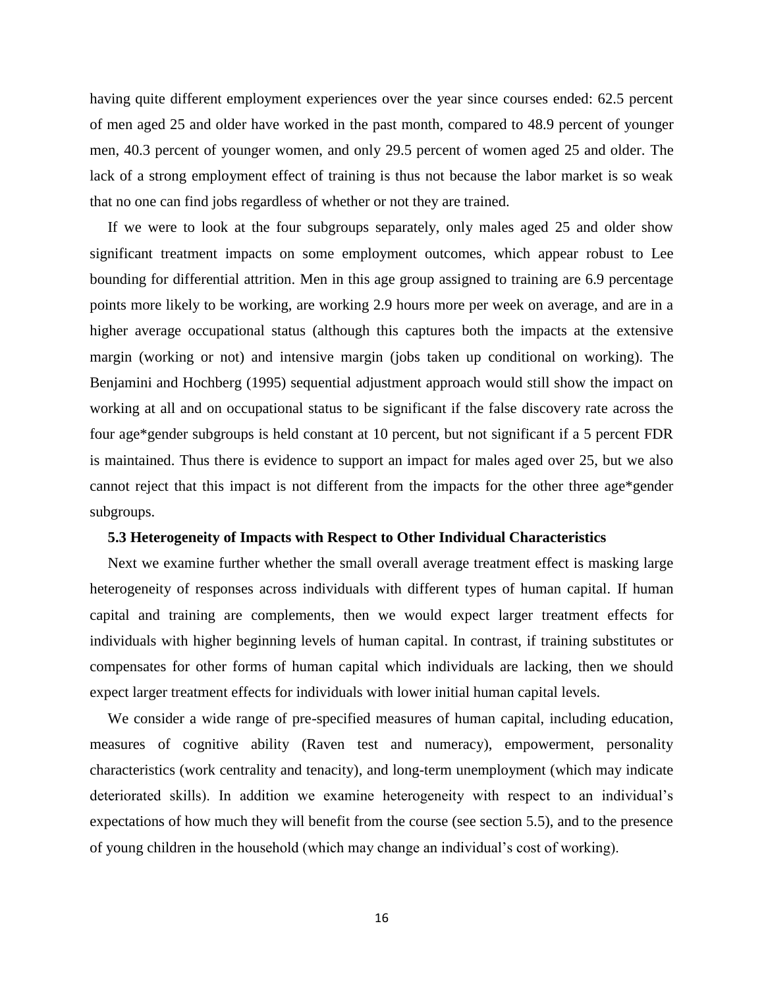having quite different employment experiences over the year since courses ended: 62.5 percent of men aged 25 and older have worked in the past month, compared to 48.9 percent of younger men, 40.3 percent of younger women, and only 29.5 percent of women aged 25 and older. The lack of a strong employment effect of training is thus not because the labor market is so weak that no one can find jobs regardless of whether or not they are trained.

If we were to look at the four subgroups separately, only males aged 25 and older show significant treatment impacts on some employment outcomes, which appear robust to Lee bounding for differential attrition. Men in this age group assigned to training are 6.9 percentage points more likely to be working, are working 2.9 hours more per week on average, and are in a higher average occupational status (although this captures both the impacts at the extensive margin (working or not) and intensive margin (jobs taken up conditional on working). The Benjamini and Hochberg (1995) sequential adjustment approach would still show the impact on working at all and on occupational status to be significant if the false discovery rate across the four age\*gender subgroups is held constant at 10 percent, but not significant if a 5 percent FDR is maintained. Thus there is evidence to support an impact for males aged over 25, but we also cannot reject that this impact is not different from the impacts for the other three age\*gender subgroups.

# **5.3 Heterogeneity of Impacts with Respect to Other Individual Characteristics**

Next we examine further whether the small overall average treatment effect is masking large heterogeneity of responses across individuals with different types of human capital. If human capital and training are complements, then we would expect larger treatment effects for individuals with higher beginning levels of human capital. In contrast, if training substitutes or compensates for other forms of human capital which individuals are lacking, then we should expect larger treatment effects for individuals with lower initial human capital levels.

We consider a wide range of pre-specified measures of human capital, including education, measures of cognitive ability (Raven test and numeracy), empowerment, personality characteristics (work centrality and tenacity), and long-term unemployment (which may indicate deteriorated skills). In addition we examine heterogeneity with respect to an individual's expectations of how much they will benefit from the course (see section 5.5), and to the presence of young children in the household (which may change an individual's cost of working).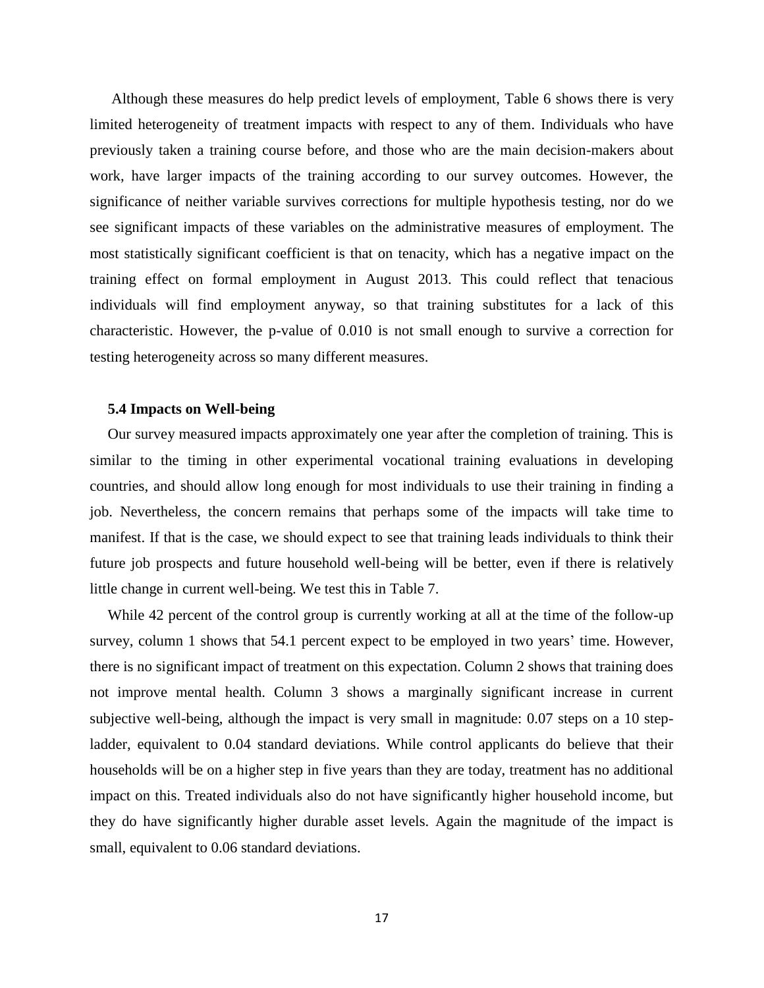Although these measures do help predict levels of employment, Table 6 shows there is very limited heterogeneity of treatment impacts with respect to any of them. Individuals who have previously taken a training course before, and those who are the main decision-makers about work, have larger impacts of the training according to our survey outcomes. However, the significance of neither variable survives corrections for multiple hypothesis testing, nor do we see significant impacts of these variables on the administrative measures of employment. The most statistically significant coefficient is that on tenacity, which has a negative impact on the training effect on formal employment in August 2013. This could reflect that tenacious individuals will find employment anyway, so that training substitutes for a lack of this characteristic. However, the p-value of 0.010 is not small enough to survive a correction for testing heterogeneity across so many different measures.

### **5.4 Impacts on Well-being**

Our survey measured impacts approximately one year after the completion of training. This is similar to the timing in other experimental vocational training evaluations in developing countries, and should allow long enough for most individuals to use their training in finding a job. Nevertheless, the concern remains that perhaps some of the impacts will take time to manifest. If that is the case, we should expect to see that training leads individuals to think their future job prospects and future household well-being will be better, even if there is relatively little change in current well-being. We test this in Table 7.

While 42 percent of the control group is currently working at all at the time of the follow-up survey, column 1 shows that 54.1 percent expect to be employed in two years' time. However, there is no significant impact of treatment on this expectation. Column 2 shows that training does not improve mental health. Column 3 shows a marginally significant increase in current subjective well-being, although the impact is very small in magnitude: 0.07 steps on a 10 stepladder, equivalent to 0.04 standard deviations. While control applicants do believe that their households will be on a higher step in five years than they are today, treatment has no additional impact on this. Treated individuals also do not have significantly higher household income, but they do have significantly higher durable asset levels. Again the magnitude of the impact is small, equivalent to 0.06 standard deviations.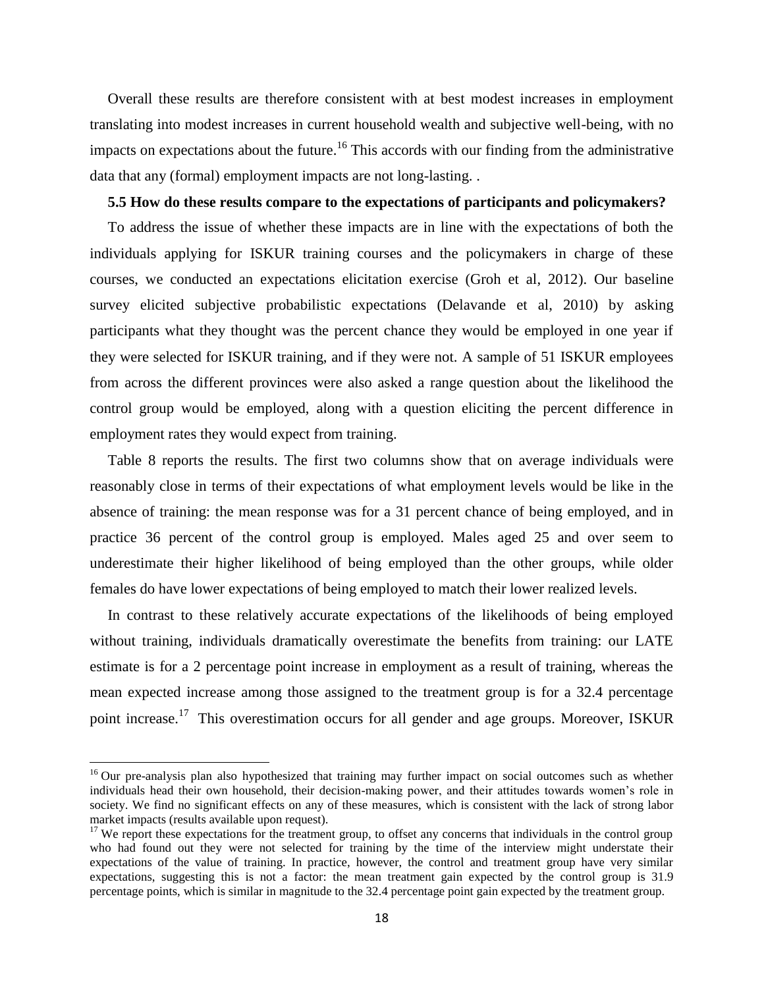Overall these results are therefore consistent with at best modest increases in employment translating into modest increases in current household wealth and subjective well-being, with no impacts on expectations about the future.<sup>16</sup> This accords with our finding from the administrative data that any (formal) employment impacts are not long-lasting. .

# **5.5 How do these results compare to the expectations of participants and policymakers?**

To address the issue of whether these impacts are in line with the expectations of both the individuals applying for ISKUR training courses and the policymakers in charge of these courses, we conducted an expectations elicitation exercise (Groh et al, 2012). Our baseline survey elicited subjective probabilistic expectations (Delavande et al, 2010) by asking participants what they thought was the percent chance they would be employed in one year if they were selected for ISKUR training, and if they were not. A sample of 51 ISKUR employees from across the different provinces were also asked a range question about the likelihood the control group would be employed, along with a question eliciting the percent difference in employment rates they would expect from training.

Table 8 reports the results. The first two columns show that on average individuals were reasonably close in terms of their expectations of what employment levels would be like in the absence of training: the mean response was for a 31 percent chance of being employed, and in practice 36 percent of the control group is employed. Males aged 25 and over seem to underestimate their higher likelihood of being employed than the other groups, while older females do have lower expectations of being employed to match their lower realized levels.

In contrast to these relatively accurate expectations of the likelihoods of being employed without training, individuals dramatically overestimate the benefits from training: our LATE estimate is for a 2 percentage point increase in employment as a result of training, whereas the mean expected increase among those assigned to the treatment group is for a 32.4 percentage point increase.<sup>17</sup> This overestimation occurs for all gender and age groups. Moreover, ISKUR

 $\overline{\phantom{a}}$ 

<sup>&</sup>lt;sup>16</sup> Our pre-analysis plan also hypothesized that training may further impact on social outcomes such as whether individuals head their own household, their decision-making power, and their attitudes towards women's role in society. We find no significant effects on any of these measures, which is consistent with the lack of strong labor market impacts (results available upon request).

<sup>&</sup>lt;sup>17</sup> We report these expectations for the treatment group, to offset any concerns that individuals in the control group who had found out they were not selected for training by the time of the interview might understate their expectations of the value of training. In practice, however, the control and treatment group have very similar expectations, suggesting this is not a factor: the mean treatment gain expected by the control group is 31.9 percentage points, which is similar in magnitude to the 32.4 percentage point gain expected by the treatment group.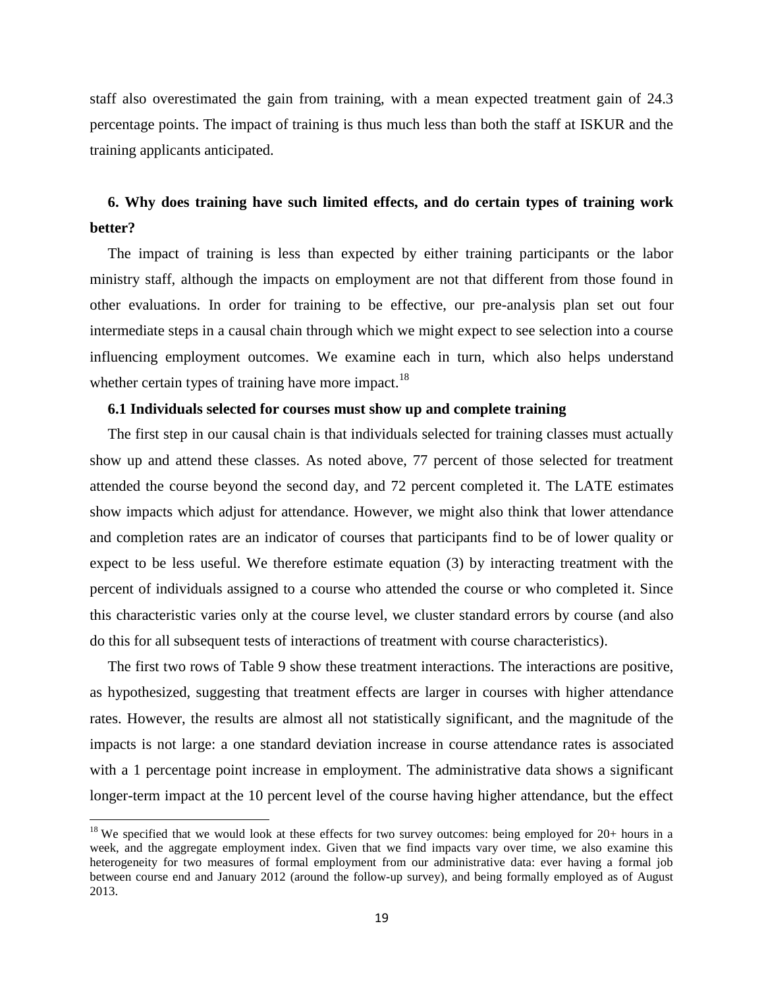staff also overestimated the gain from training, with a mean expected treatment gain of 24.3 percentage points. The impact of training is thus much less than both the staff at ISKUR and the training applicants anticipated.

# **6. Why does training have such limited effects, and do certain types of training work better?**

The impact of training is less than expected by either training participants or the labor ministry staff, although the impacts on employment are not that different from those found in other evaluations. In order for training to be effective, our pre-analysis plan set out four intermediate steps in a causal chain through which we might expect to see selection into a course influencing employment outcomes. We examine each in turn, which also helps understand whether certain types of training have more impact.<sup>18</sup>

#### **6.1 Individuals selected for courses must show up and complete training**

The first step in our causal chain is that individuals selected for training classes must actually show up and attend these classes. As noted above, 77 percent of those selected for treatment attended the course beyond the second day, and 72 percent completed it. The LATE estimates show impacts which adjust for attendance. However, we might also think that lower attendance and completion rates are an indicator of courses that participants find to be of lower quality or expect to be less useful. We therefore estimate equation (3) by interacting treatment with the percent of individuals assigned to a course who attended the course or who completed it. Since this characteristic varies only at the course level, we cluster standard errors by course (and also do this for all subsequent tests of interactions of treatment with course characteristics).

The first two rows of Table 9 show these treatment interactions. The interactions are positive, as hypothesized, suggesting that treatment effects are larger in courses with higher attendance rates. However, the results are almost all not statistically significant, and the magnitude of the impacts is not large: a one standard deviation increase in course attendance rates is associated with a 1 percentage point increase in employment. The administrative data shows a significant longer-term impact at the 10 percent level of the course having higher attendance, but the effect

 $\overline{a}$ 

 $18$  We specified that we would look at these effects for two survey outcomes: being employed for 20+ hours in a week, and the aggregate employment index. Given that we find impacts vary over time, we also examine this heterogeneity for two measures of formal employment from our administrative data: ever having a formal job between course end and January 2012 (around the follow-up survey), and being formally employed as of August 2013.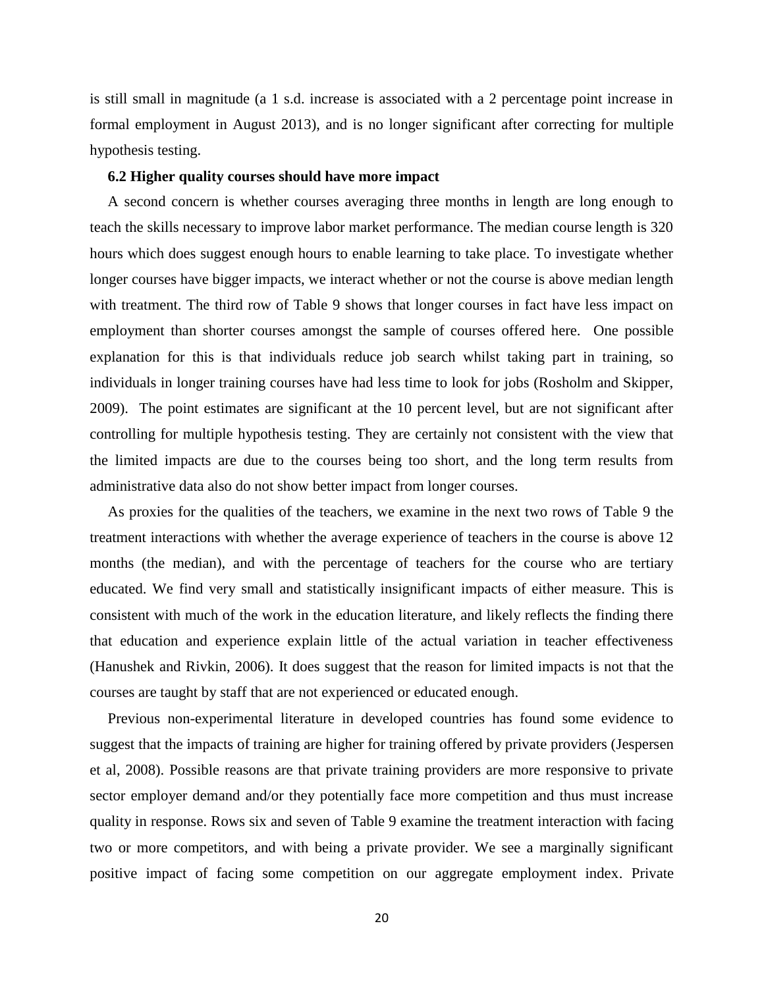is still small in magnitude (a 1 s.d. increase is associated with a 2 percentage point increase in formal employment in August 2013), and is no longer significant after correcting for multiple hypothesis testing.

#### **6.2 Higher quality courses should have more impact**

A second concern is whether courses averaging three months in length are long enough to teach the skills necessary to improve labor market performance. The median course length is 320 hours which does suggest enough hours to enable learning to take place. To investigate whether longer courses have bigger impacts, we interact whether or not the course is above median length with treatment. The third row of Table 9 shows that longer courses in fact have less impact on employment than shorter courses amongst the sample of courses offered here. One possible explanation for this is that individuals reduce job search whilst taking part in training, so individuals in longer training courses have had less time to look for jobs (Rosholm and Skipper, 2009). The point estimates are significant at the 10 percent level, but are not significant after controlling for multiple hypothesis testing. They are certainly not consistent with the view that the limited impacts are due to the courses being too short, and the long term results from administrative data also do not show better impact from longer courses.

As proxies for the qualities of the teachers, we examine in the next two rows of Table 9 the treatment interactions with whether the average experience of teachers in the course is above 12 months (the median), and with the percentage of teachers for the course who are tertiary educated. We find very small and statistically insignificant impacts of either measure. This is consistent with much of the work in the education literature, and likely reflects the finding there that education and experience explain little of the actual variation in teacher effectiveness (Hanushek and Rivkin, 2006). It does suggest that the reason for limited impacts is not that the courses are taught by staff that are not experienced or educated enough.

Previous non-experimental literature in developed countries has found some evidence to suggest that the impacts of training are higher for training offered by private providers (Jespersen et al, 2008). Possible reasons are that private training providers are more responsive to private sector employer demand and/or they potentially face more competition and thus must increase quality in response. Rows six and seven of Table 9 examine the treatment interaction with facing two or more competitors, and with being a private provider. We see a marginally significant positive impact of facing some competition on our aggregate employment index. Private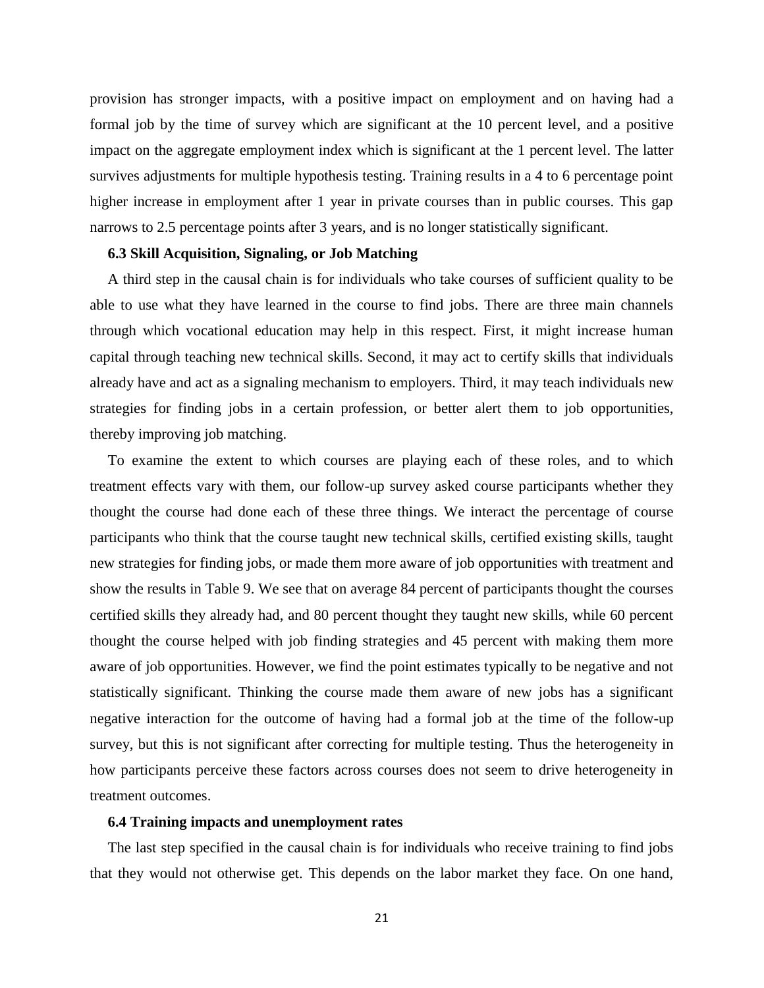provision has stronger impacts, with a positive impact on employment and on having had a formal job by the time of survey which are significant at the 10 percent level, and a positive impact on the aggregate employment index which is significant at the 1 percent level. The latter survives adjustments for multiple hypothesis testing. Training results in a 4 to 6 percentage point higher increase in employment after 1 year in private courses than in public courses. This gap narrows to 2.5 percentage points after 3 years, and is no longer statistically significant.

# **6.3 Skill Acquisition, Signaling, or Job Matching**

A third step in the causal chain is for individuals who take courses of sufficient quality to be able to use what they have learned in the course to find jobs. There are three main channels through which vocational education may help in this respect. First, it might increase human capital through teaching new technical skills. Second, it may act to certify skills that individuals already have and act as a signaling mechanism to employers. Third, it may teach individuals new strategies for finding jobs in a certain profession, or better alert them to job opportunities, thereby improving job matching.

To examine the extent to which courses are playing each of these roles, and to which treatment effects vary with them, our follow-up survey asked course participants whether they thought the course had done each of these three things. We interact the percentage of course participants who think that the course taught new technical skills, certified existing skills, taught new strategies for finding jobs, or made them more aware of job opportunities with treatment and show the results in Table 9. We see that on average 84 percent of participants thought the courses certified skills they already had, and 80 percent thought they taught new skills, while 60 percent thought the course helped with job finding strategies and 45 percent with making them more aware of job opportunities. However, we find the point estimates typically to be negative and not statistically significant. Thinking the course made them aware of new jobs has a significant negative interaction for the outcome of having had a formal job at the time of the follow-up survey, but this is not significant after correcting for multiple testing. Thus the heterogeneity in how participants perceive these factors across courses does not seem to drive heterogeneity in treatment outcomes.

### **6.4 Training impacts and unemployment rates**

The last step specified in the causal chain is for individuals who receive training to find jobs that they would not otherwise get. This depends on the labor market they face. On one hand,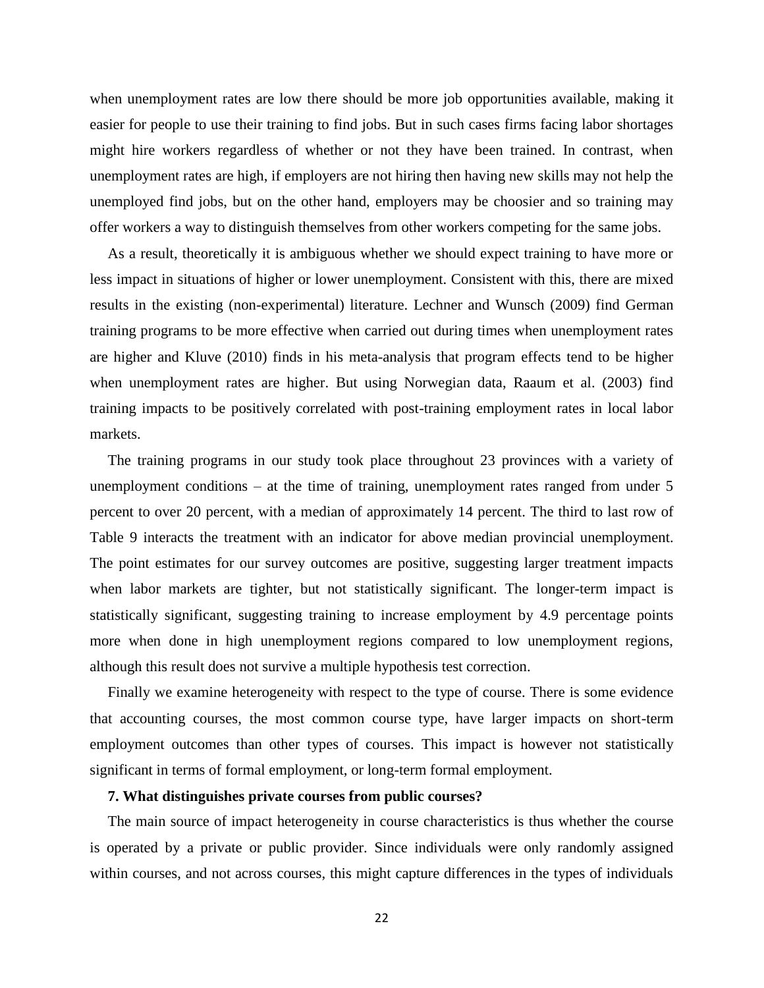when unemployment rates are low there should be more job opportunities available, making it easier for people to use their training to find jobs. But in such cases firms facing labor shortages might hire workers regardless of whether or not they have been trained. In contrast, when unemployment rates are high, if employers are not hiring then having new skills may not help the unemployed find jobs, but on the other hand, employers may be choosier and so training may offer workers a way to distinguish themselves from other workers competing for the same jobs.

As a result, theoretically it is ambiguous whether we should expect training to have more or less impact in situations of higher or lower unemployment. Consistent with this, there are mixed results in the existing (non-experimental) literature. Lechner and Wunsch (2009) find German training programs to be more effective when carried out during times when unemployment rates are higher and Kluve (2010) finds in his meta-analysis that program effects tend to be higher when unemployment rates are higher. But using Norwegian data, Raaum et al. (2003) find training impacts to be positively correlated with post-training employment rates in local labor markets.

The training programs in our study took place throughout 23 provinces with a variety of unemployment conditions – at the time of training, unemployment rates ranged from under 5 percent to over 20 percent, with a median of approximately 14 percent. The third to last row of Table 9 interacts the treatment with an indicator for above median provincial unemployment. The point estimates for our survey outcomes are positive, suggesting larger treatment impacts when labor markets are tighter, but not statistically significant. The longer-term impact is statistically significant, suggesting training to increase employment by 4.9 percentage points more when done in high unemployment regions compared to low unemployment regions, although this result does not survive a multiple hypothesis test correction.

Finally we examine heterogeneity with respect to the type of course. There is some evidence that accounting courses, the most common course type, have larger impacts on short-term employment outcomes than other types of courses. This impact is however not statistically significant in terms of formal employment, or long-term formal employment.

# **7. What distinguishes private courses from public courses?**

The main source of impact heterogeneity in course characteristics is thus whether the course is operated by a private or public provider. Since individuals were only randomly assigned within courses, and not across courses, this might capture differences in the types of individuals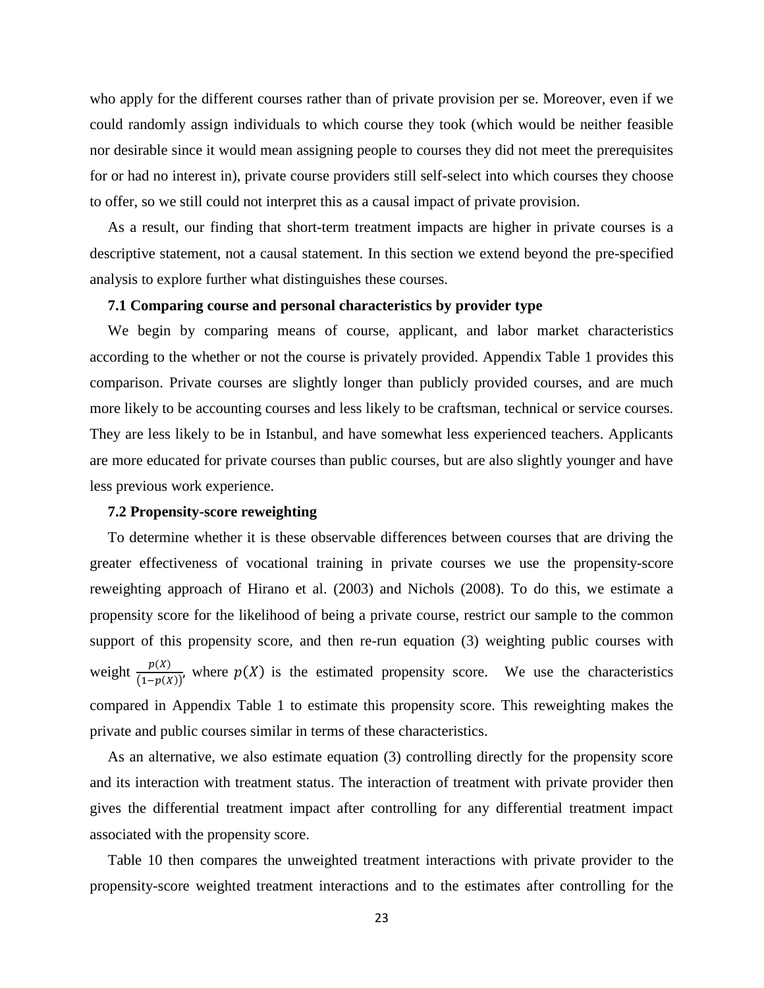who apply for the different courses rather than of private provision per se. Moreover, even if we could randomly assign individuals to which course they took (which would be neither feasible nor desirable since it would mean assigning people to courses they did not meet the prerequisites for or had no interest in), private course providers still self-select into which courses they choose to offer, so we still could not interpret this as a causal impact of private provision.

As a result, our finding that short-term treatment impacts are higher in private courses is a descriptive statement, not a causal statement. In this section we extend beyond the pre-specified analysis to explore further what distinguishes these courses.

# **7.1 Comparing course and personal characteristics by provider type**

We begin by comparing means of course, applicant, and labor market characteristics according to the whether or not the course is privately provided. Appendix Table 1 provides this comparison. Private courses are slightly longer than publicly provided courses, and are much more likely to be accounting courses and less likely to be craftsman, technical or service courses. They are less likely to be in Istanbul, and have somewhat less experienced teachers. Applicants are more educated for private courses than public courses, but are also slightly younger and have less previous work experience.

# **7.2 Propensity-score reweighting**

To determine whether it is these observable differences between courses that are driving the greater effectiveness of vocational training in private courses we use the propensity-score reweighting approach of Hirano et al. (2003) and Nichols (2008). To do this, we estimate a propensity score for the likelihood of being a private course, restrict our sample to the common support of this propensity score, and then re-run equation (3) weighting public courses with weight  $\frac{p(X)}{(1-p(X))}$ , where  $p(X)$  is the estimated propensity score. We use the characteristics compared in Appendix Table 1 to estimate this propensity score. This reweighting makes the private and public courses similar in terms of these characteristics.

As an alternative, we also estimate equation (3) controlling directly for the propensity score and its interaction with treatment status. The interaction of treatment with private provider then gives the differential treatment impact after controlling for any differential treatment impact associated with the propensity score.

Table 10 then compares the unweighted treatment interactions with private provider to the propensity-score weighted treatment interactions and to the estimates after controlling for the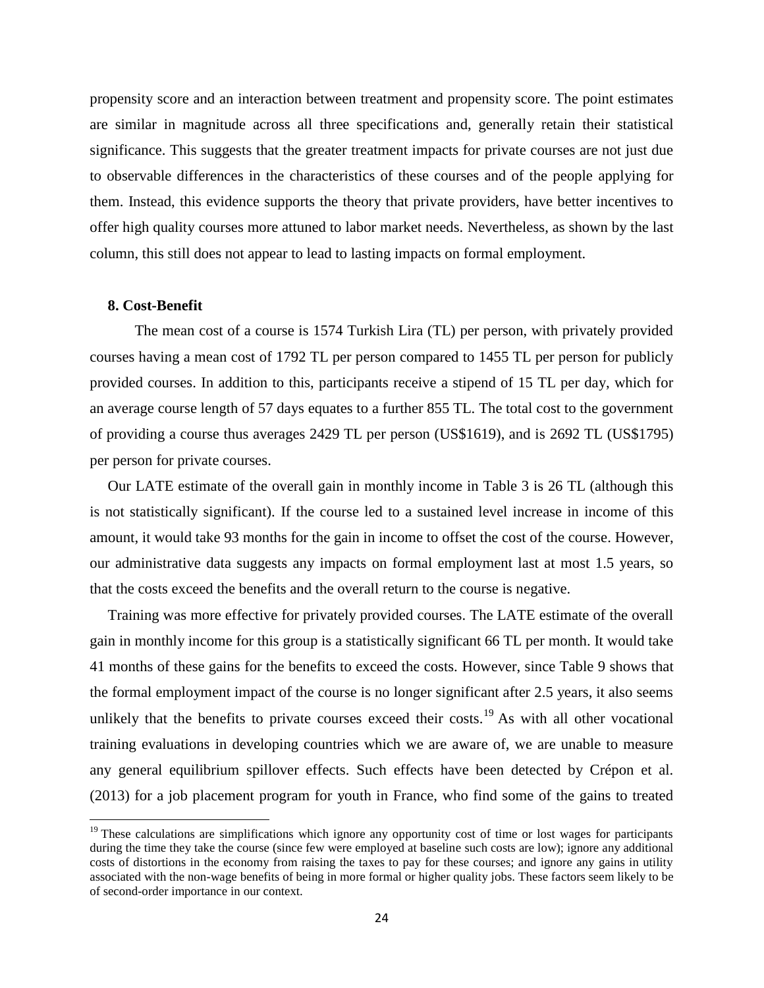propensity score and an interaction between treatment and propensity score. The point estimates are similar in magnitude across all three specifications and, generally retain their statistical significance. This suggests that the greater treatment impacts for private courses are not just due to observable differences in the characteristics of these courses and of the people applying for them. Instead, this evidence supports the theory that private providers, have better incentives to offer high quality courses more attuned to labor market needs. Nevertheless, as shown by the last column, this still does not appear to lead to lasting impacts on formal employment.

#### **8. Cost-Benefit**

 $\overline{a}$ 

The mean cost of a course is 1574 Turkish Lira (TL) per person, with privately provided courses having a mean cost of 1792 TL per person compared to 1455 TL per person for publicly provided courses. In addition to this, participants receive a stipend of 15 TL per day, which for an average course length of 57 days equates to a further 855 TL. The total cost to the government of providing a course thus averages 2429 TL per person (US\$1619), and is 2692 TL (US\$1795) per person for private courses.

Our LATE estimate of the overall gain in monthly income in Table 3 is 26 TL (although this is not statistically significant). If the course led to a sustained level increase in income of this amount, it would take 93 months for the gain in income to offset the cost of the course. However, our administrative data suggests any impacts on formal employment last at most 1.5 years, so that the costs exceed the benefits and the overall return to the course is negative.

Training was more effective for privately provided courses. The LATE estimate of the overall gain in monthly income for this group is a statistically significant 66 TL per month. It would take 41 months of these gains for the benefits to exceed the costs. However, since Table 9 shows that the formal employment impact of the course is no longer significant after 2.5 years, it also seems unlikely that the benefits to private courses exceed their costs.<sup>19</sup> As with all other vocational training evaluations in developing countries which we are aware of, we are unable to measure any general equilibrium spillover effects. Such effects have been detected by Crépon et al. (2013) for a job placement program for youth in France, who find some of the gains to treated

 $19$  These calculations are simplifications which ignore any opportunity cost of time or lost wages for participants during the time they take the course (since few were employed at baseline such costs are low); ignore any additional costs of distortions in the economy from raising the taxes to pay for these courses; and ignore any gains in utility associated with the non-wage benefits of being in more formal or higher quality jobs. These factors seem likely to be of second-order importance in our context.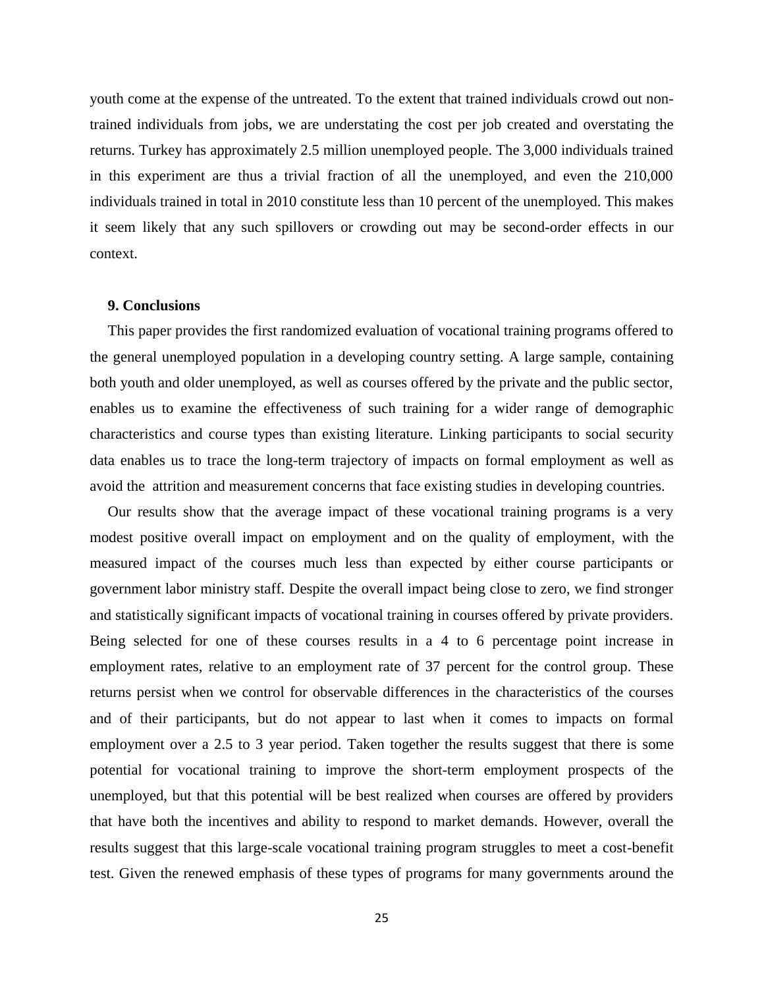youth come at the expense of the untreated. To the extent that trained individuals crowd out nontrained individuals from jobs, we are understating the cost per job created and overstating the returns. Turkey has approximately 2.5 million unemployed people. The 3,000 individuals trained in this experiment are thus a trivial fraction of all the unemployed, and even the 210,000 individuals trained in total in 2010 constitute less than 10 percent of the unemployed. This makes it seem likely that any such spillovers or crowding out may be second-order effects in our context.

#### **9. Conclusions**

This paper provides the first randomized evaluation of vocational training programs offered to the general unemployed population in a developing country setting. A large sample, containing both youth and older unemployed, as well as courses offered by the private and the public sector, enables us to examine the effectiveness of such training for a wider range of demographic characteristics and course types than existing literature. Linking participants to social security data enables us to trace the long-term trajectory of impacts on formal employment as well as avoid the attrition and measurement concerns that face existing studies in developing countries.

Our results show that the average impact of these vocational training programs is a very modest positive overall impact on employment and on the quality of employment, with the measured impact of the courses much less than expected by either course participants or government labor ministry staff. Despite the overall impact being close to zero, we find stronger and statistically significant impacts of vocational training in courses offered by private providers. Being selected for one of these courses results in a 4 to 6 percentage point increase in employment rates, relative to an employment rate of 37 percent for the control group. These returns persist when we control for observable differences in the characteristics of the courses and of their participants, but do not appear to last when it comes to impacts on formal employment over a 2.5 to 3 year period. Taken together the results suggest that there is some potential for vocational training to improve the short-term employment prospects of the unemployed, but that this potential will be best realized when courses are offered by providers that have both the incentives and ability to respond to market demands. However, overall the results suggest that this large-scale vocational training program struggles to meet a cost-benefit test. Given the renewed emphasis of these types of programs for many governments around the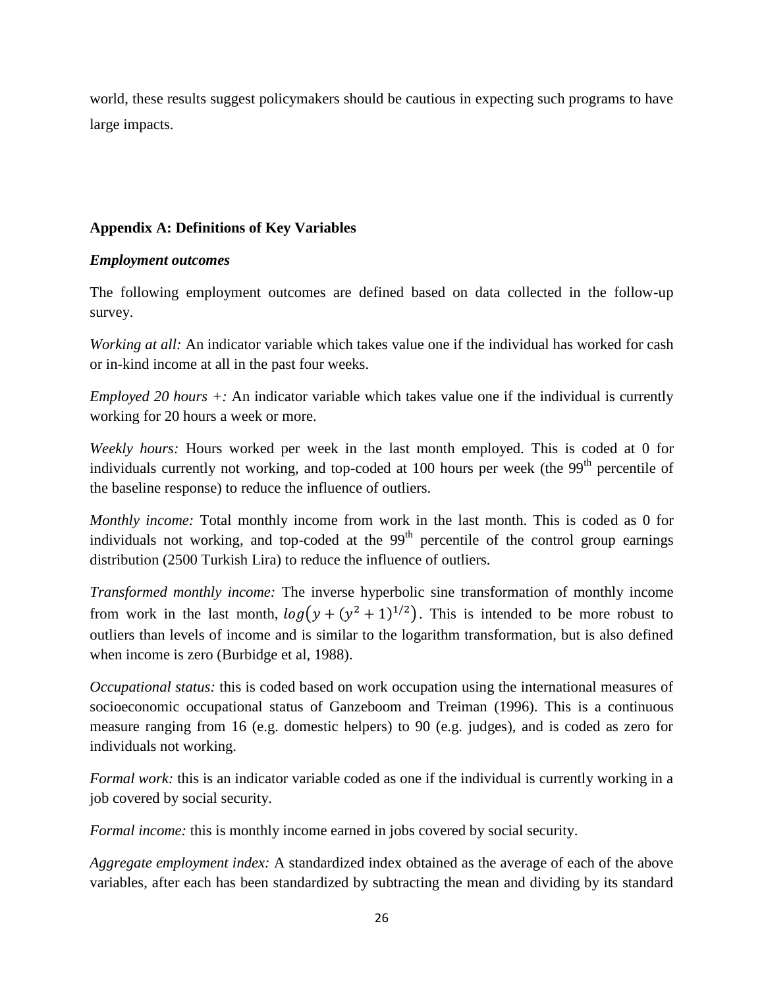world, these results suggest policymakers should be cautious in expecting such programs to have large impacts.

# **Appendix A: Definitions of Key Variables**

# *Employment outcomes*

The following employment outcomes are defined based on data collected in the follow-up survey.

*Working at all:* An indicator variable which takes value one if the individual has worked for cash or in-kind income at all in the past four weeks.

*Employed 20 hours +:* An indicator variable which takes value one if the individual is currently working for 20 hours a week or more.

*Weekly hours:* Hours worked per week in the last month employed. This is coded at 0 for individuals currently not working, and top-coded at 100 hours per week (the 99<sup>th</sup> percentile of the baseline response) to reduce the influence of outliers.

*Monthly income:* Total monthly income from work in the last month. This is coded as 0 for individuals not working, and top-coded at the  $99<sup>th</sup>$  percentile of the control group earnings distribution (2500 Turkish Lira) to reduce the influence of outliers.

*Transformed monthly income:* The inverse hyperbolic sine transformation of monthly income from work in the last month,  $log(y + (y^2 + 1)^{1/2})$ . This is intended to be more robust to outliers than levels of income and is similar to the logarithm transformation, but is also defined when income is zero (Burbidge et al, 1988).

*Occupational status:* this is coded based on work occupation using the international measures of socioeconomic occupational status of Ganzeboom and Treiman (1996). This is a continuous measure ranging from 16 (e.g. domestic helpers) to 90 (e.g. judges), and is coded as zero for individuals not working.

*Formal work:* this is an indicator variable coded as one if the individual is currently working in a job covered by social security.

*Formal income:* this is monthly income earned in jobs covered by social security.

*Aggregate employment index:* A standardized index obtained as the average of each of the above variables, after each has been standardized by subtracting the mean and dividing by its standard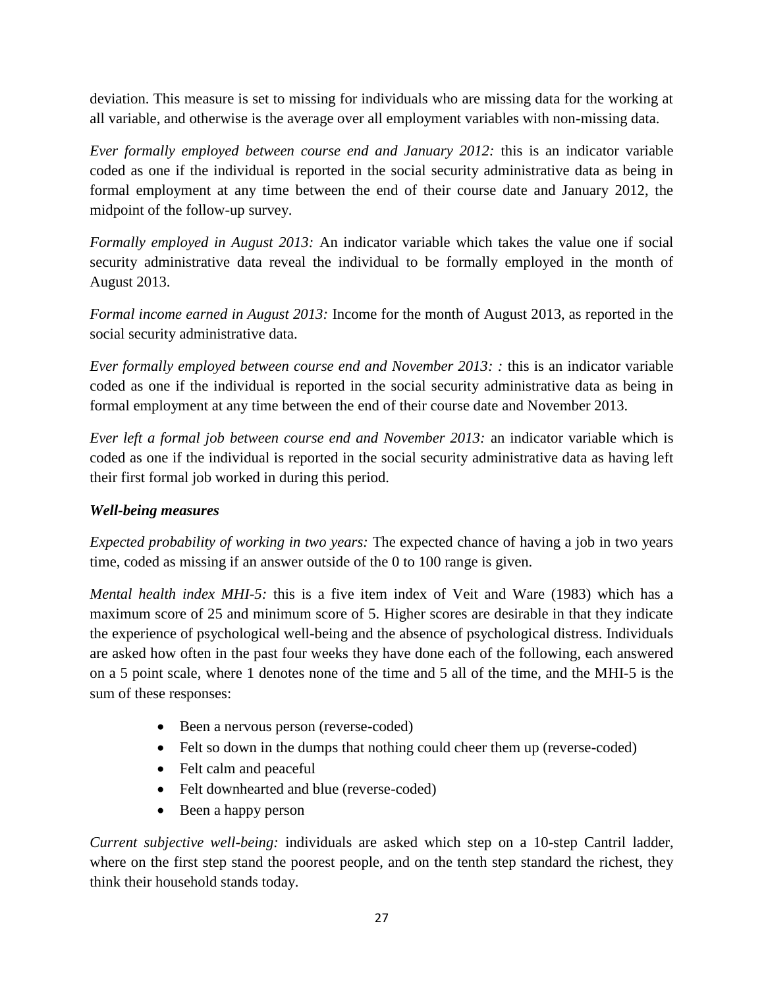deviation. This measure is set to missing for individuals who are missing data for the working at all variable, and otherwise is the average over all employment variables with non-missing data.

*Ever formally employed between course end and January 2012:* this is an indicator variable coded as one if the individual is reported in the social security administrative data as being in formal employment at any time between the end of their course date and January 2012, the midpoint of the follow-up survey.

*Formally employed in August 2013:* An indicator variable which takes the value one if social security administrative data reveal the individual to be formally employed in the month of August 2013.

*Formal income earned in August 2013:* Income for the month of August 2013, as reported in the social security administrative data.

*Ever formally employed between course end and November 2013: : this is an indicator variable* coded as one if the individual is reported in the social security administrative data as being in formal employment at any time between the end of their course date and November 2013.

*Ever left a formal job between course end and November 2013:* an indicator variable which is coded as one if the individual is reported in the social security administrative data as having left their first formal job worked in during this period.

# *Well-being measures*

*Expected probability of working in two years:* The expected chance of having a job in two years time, coded as missing if an answer outside of the 0 to 100 range is given.

*Mental health index MHI-5:* this is a five item index of Veit and Ware (1983) which has a maximum score of 25 and minimum score of 5. Higher scores are desirable in that they indicate the experience of psychological well-being and the absence of psychological distress. Individuals are asked how often in the past four weeks they have done each of the following, each answered on a 5 point scale, where 1 denotes none of the time and 5 all of the time, and the MHI-5 is the sum of these responses:

- Been a nervous person (reverse-coded)
- Felt so down in the dumps that nothing could cheer them up (reverse-coded)
- Felt calm and peaceful
- Felt downhearted and blue (reverse-coded)
- Been a happy person

*Current subjective well-being:* individuals are asked which step on a 10-step Cantril ladder, where on the first step stand the poorest people, and on the tenth step standard the richest, they think their household stands today.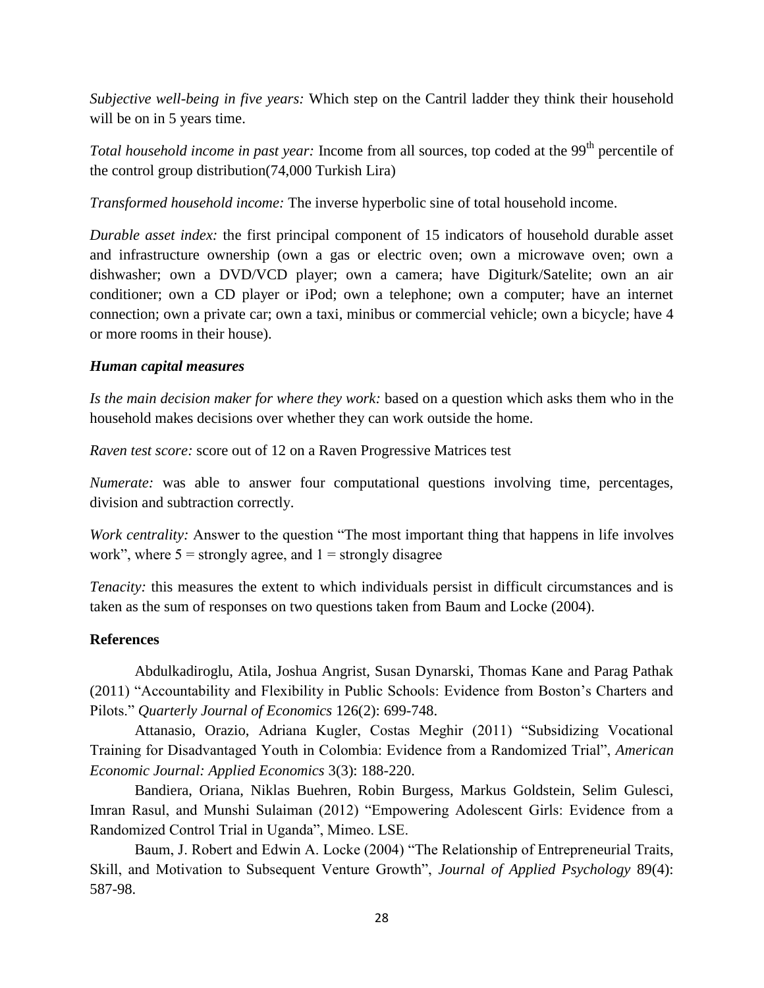*Subjective well-being in five years:* Which step on the Cantril ladder they think their household will be on in 5 years time.

*Total household income in past year:* Income from all sources, top coded at the 99<sup>th</sup> percentile of the control group distribution(74,000 Turkish Lira)

*Transformed household income:* The inverse hyperbolic sine of total household income.

*Durable asset index:* the first principal component of 15 indicators of household durable asset and infrastructure ownership (own a gas or electric oven; own a microwave oven; own a dishwasher; own a DVD/VCD player; own a camera; have Digiturk/Satelite; own an air conditioner; own a CD player or iPod; own a telephone; own a computer; have an internet connection; own a private car; own a taxi, minibus or commercial vehicle; own a bicycle; have 4 or more rooms in their house).

# *Human capital measures*

*Is the main decision maker for where they work:* based on a question which asks them who in the household makes decisions over whether they can work outside the home.

*Raven test score:* score out of 12 on a Raven Progressive Matrices test

*Numerate:* was able to answer four computational questions involving time, percentages, division and subtraction correctly.

*Work centrality:* Answer to the question "The most important thing that happens in life involves work", where  $5 =$  strongly agree, and  $1 =$  strongly disagree

*Tenacity:* this measures the extent to which individuals persist in difficult circumstances and is taken as the sum of responses on two questions taken from Baum and Locke (2004).

# **References**

Abdulkadiroglu, Atila, Joshua Angrist, Susan Dynarski, Thomas Kane and Parag Pathak (2011) "Accountability and Flexibility in Public Schools: Evidence from Boston's Charters and Pilots." *Quarterly Journal of Economics* 126(2): 699-748.

Attanasio, Orazio, Adriana Kugler, Costas Meghir (2011) "Subsidizing Vocational Training for Disadvantaged Youth in Colombia: Evidence from a Randomized Trial", *American Economic Journal: Applied Economics* 3(3): 188-220.

Bandiera, Oriana, Niklas Buehren, Robin Burgess, Markus Goldstein, Selim Gulesci, Imran Rasul, and Munshi Sulaiman (2012) "Empowering Adolescent Girls: Evidence from a Randomized Control Trial in Uganda", Mimeo. LSE.

Baum, J. Robert and Edwin A. Locke (2004) "The Relationship of Entrepreneurial Traits, Skill, and Motivation to Subsequent Venture Growth", *Journal of Applied Psychology* 89(4): 587-98.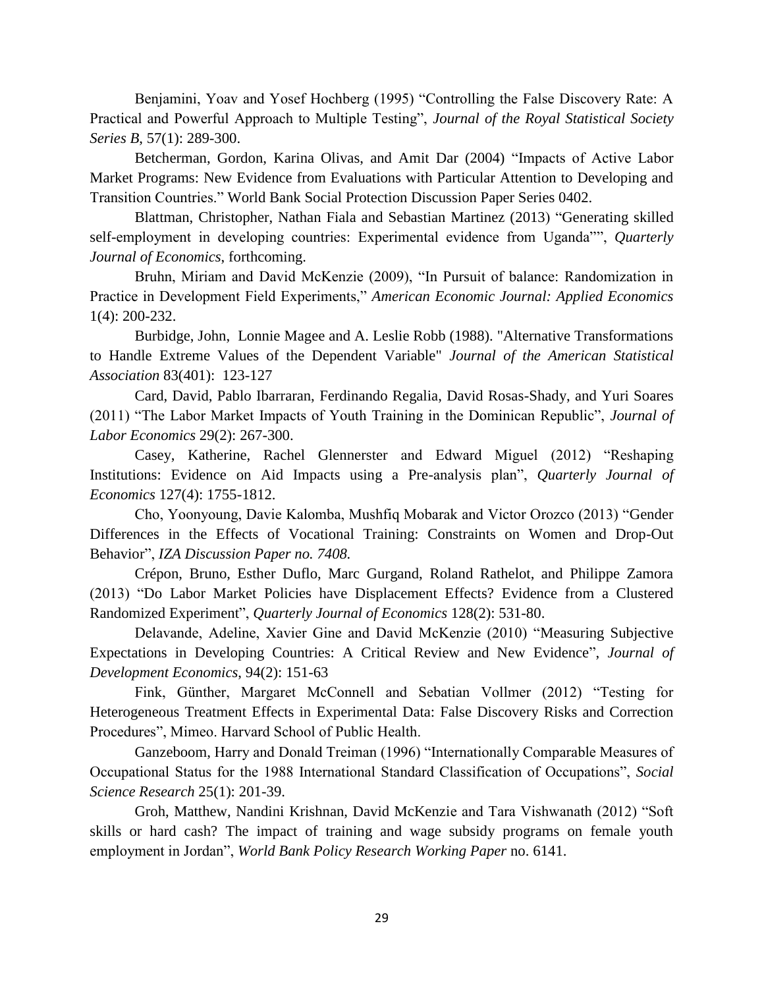Benjamini, Yoav and Yosef Hochberg (1995) "Controlling the False Discovery Rate: A Practical and Powerful Approach to Multiple Testing", *Journal of the Royal Statistical Society Series B*, 57(1): 289-300.

Betcherman, Gordon, Karina Olivas, and Amit Dar (2004) "Impacts of Active Labor Market Programs: New Evidence from Evaluations with Particular Attention to Developing and Transition Countries." World Bank Social Protection Discussion Paper Series 0402.

Blattman, Christopher, Nathan Fiala and Sebastian Martinez (2013) "Generating skilled self-employment in developing countries: Experimental evidence from Uganda"", *Quarterly Journal of Economics*, forthcoming.

Bruhn, Miriam and David McKenzie (2009), "In Pursuit of balance: Randomization in Practice in Development Field Experiments," *American Economic Journal: Applied Economics* 1(4): 200-232.

Burbidge, John, Lonnie Magee and A. Leslie Robb (1988). "Alternative Transformations to Handle Extreme Values of the Dependent Variable" *Journal of the American Statistical Association* 83(401): 123-127

Card, David, Pablo Ibarraran, Ferdinando Regalia, David Rosas-Shady, and Yuri Soares (2011) "The Labor Market Impacts of Youth Training in the Dominican Republic", *Journal of Labor Economics* 29(2): 267-300.

Casey, Katherine, Rachel Glennerster and Edward Miguel (2012) "Reshaping Institutions: Evidence on Aid Impacts using a Pre-analysis plan", *Quarterly Journal of Economics* 127(4): 1755-1812.

Cho, Yoonyoung, Davie Kalomba, Mushfiq Mobarak and Victor Orozco (2013) "Gender Differences in the Effects of Vocational Training: Constraints on Women and Drop-Out Behavior", *IZA Discussion Paper no. 7408.*

Crépon, Bruno, Esther Duflo, Marc Gurgand, Roland Rathelot, and Philippe Zamora (2013) "Do Labor Market Policies have Displacement Effects? Evidence from a Clustered Randomized Experiment", *Quarterly Journal of Economics* 128(2): 531-80.

Delavande, Adeline, Xavier Gine and David McKenzie (2010) "Measuring Subjective Expectations in Developing Countries: A Critical Review and New Evidence", *Journal of Development Economics*, 94(2): 151-63

Fink, Günther, Margaret McConnell and Sebatian Vollmer (2012) "Testing for Heterogeneous Treatment Effects in Experimental Data: False Discovery Risks and Correction Procedures", Mimeo. Harvard School of Public Health.

Ganzeboom, Harry and Donald Treiman (1996) "Internationally Comparable Measures of Occupational Status for the 1988 International Standard Classification of Occupations", *Social Science Research* 25(1): 201-39.

Groh, Matthew, Nandini Krishnan, David McKenzie and Tara Vishwanath (2012) "Soft skills or hard cash? The impact of training and wage subsidy programs on female youth employment in Jordan", *World Bank Policy Research Working Paper* no. 6141.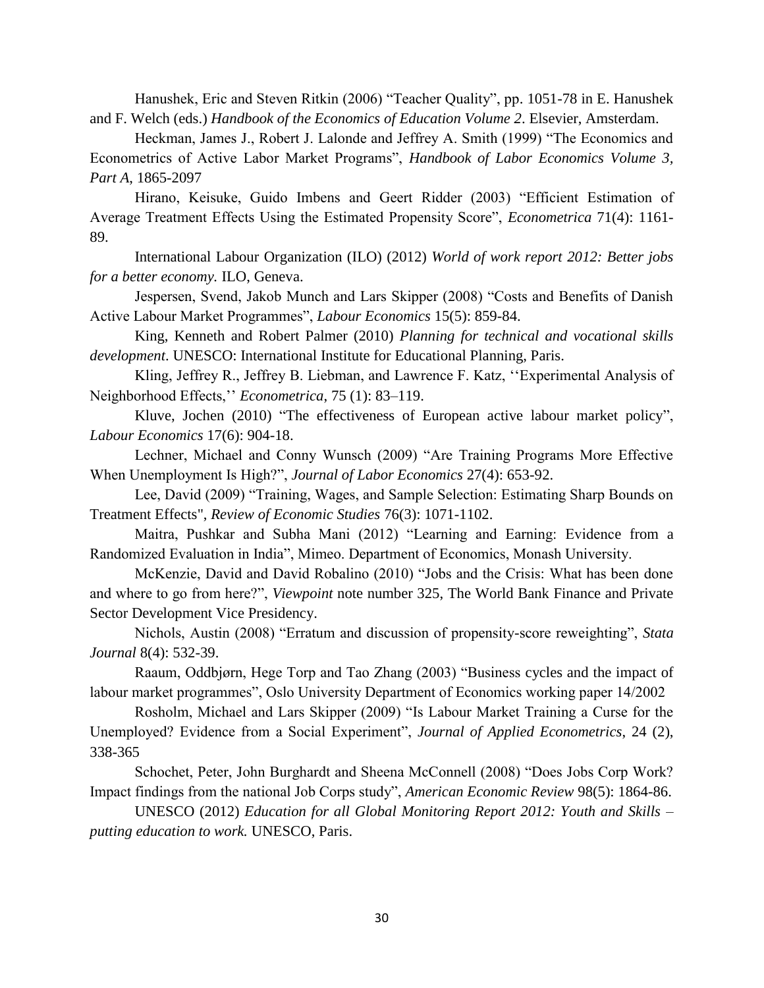Hanushek, Eric and Steven Ritkin (2006) "Teacher Quality", pp. 1051-78 in E. Hanushek and F. Welch (eds.) *Handbook of the Economics of Education Volume 2*. Elsevier, Amsterdam.

Heckman, James J., Robert J. Lalonde and Jeffrey A. Smith (1999) "The Economics and Econometrics of Active Labor Market Programs", *Handbook of Labor Economics Volume 3, Part A*, 1865-2097

Hirano, Keisuke, Guido Imbens and Geert Ridder (2003) "Efficient Estimation of Average Treatment Effects Using the Estimated Propensity Score", *Econometrica* 71(4): 1161- 89.

International Labour Organization (ILO) (2012) *World of work report 2012: Better jobs for a better economy.* ILO, Geneva.

Jespersen, Svend, Jakob Munch and Lars Skipper (2008) "Costs and Benefits of Danish Active Labour Market Programmes", *Labour Economics* 15(5): 859-84.

King, Kenneth and Robert Palmer (2010) *Planning for technical and vocational skills development*. UNESCO: International Institute for Educational Planning, Paris.

Kling, Jeffrey R., Jeffrey B. Liebman, and Lawrence F. Katz, ''Experimental Analysis of Neighborhood Effects,'' *Econometrica*, 75 (1): 83–119.

Kluve, Jochen (2010) "The effectiveness of European active labour market policy", *Labour Economics* 17(6): 904-18.

Lechner, Michael and Conny Wunsch (2009) "Are Training Programs More Effective When Unemployment Is High?", *Journal of Labor Economics* 27(4): 653-92.

Lee, David (2009) "Training, Wages, and Sample Selection: Estimating Sharp Bounds on Treatment Effects", *Review of Economic Studies* 76(3): 1071-1102.

Maitra, Pushkar and Subha Mani (2012) "Learning and Earning: Evidence from a Randomized Evaluation in India", Mimeo. Department of Economics, Monash University.

McKenzie, David and David Robalino (2010) "Jobs and the Crisis: What has been done and where to go from here?", *Viewpoint* note number 325, The World Bank Finance and Private Sector Development Vice Presidency.

Nichols, Austin (2008) "Erratum and discussion of propensity-score reweighting", *Stata Journal* 8(4): 532-39.

Raaum, Oddbjørn, Hege Torp and Tao Zhang (2003) "Business cycles and the impact of labour market programmes", Oslo University Department of Economics working paper 14/2002

Rosholm, Michael and Lars Skipper (2009) "Is Labour Market Training a Curse for the Unemployed? Evidence from a Social Experiment", *Journal of Applied Econometrics*, 24 (2), 338-365

Schochet, Peter, John Burghardt and Sheena McConnell (2008) "Does Jobs Corp Work? Impact findings from the national Job Corps study", *American Economic Review* 98(5): 1864-86.

UNESCO (2012) *Education for all Global Monitoring Report 2012: Youth and Skills – putting education to work.* UNESCO, Paris.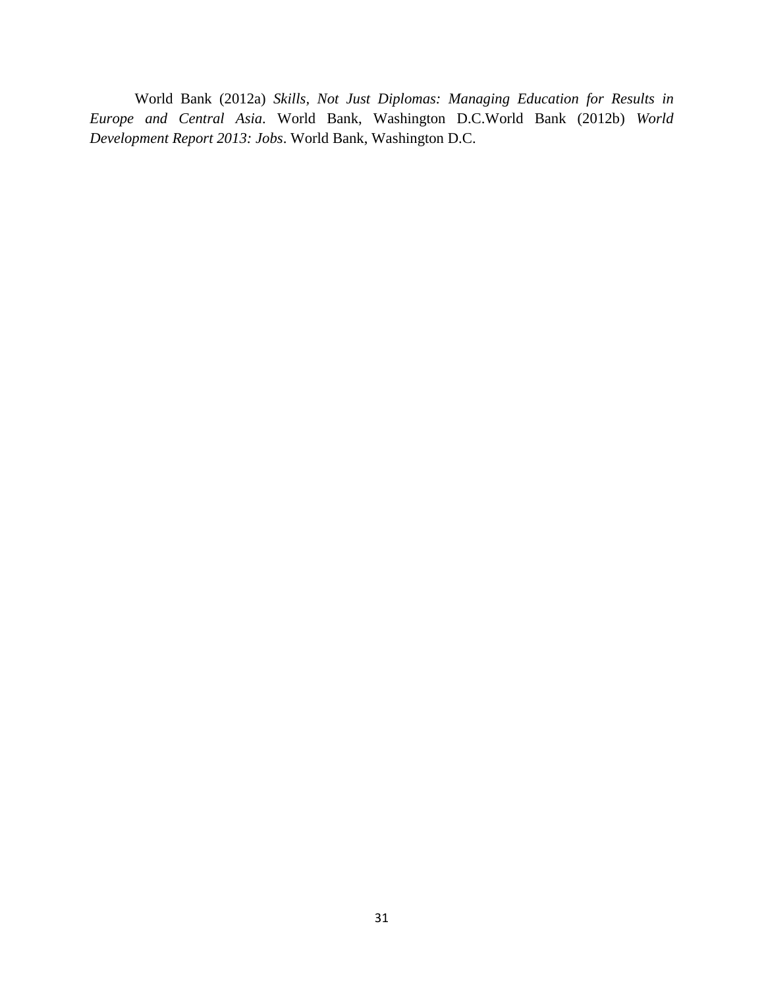World Bank (2012a) *Skills, Not Just Diplomas: Managing Education for Results in Europe and Central Asia.* World Bank, Washington D.C.World Bank (2012b) *World Development Report 2013: Jobs*. World Bank, Washington D.C.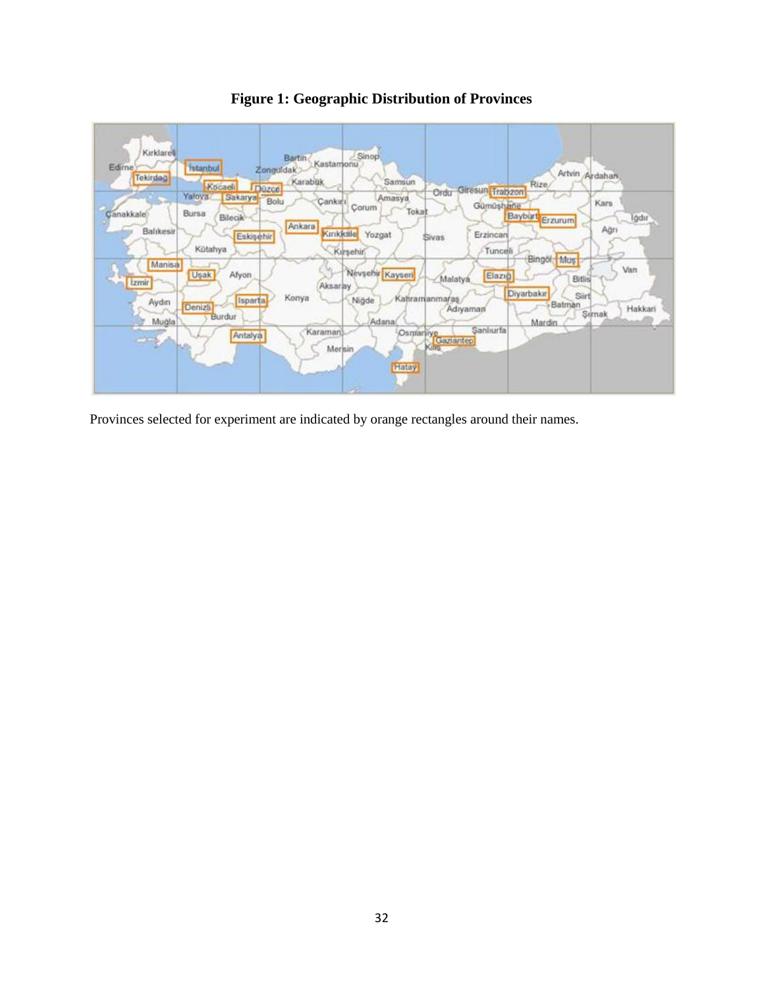

**Figure 1: Geographic Distribution of Provinces**

Provinces selected for experiment are indicated by orange rectangles around their names.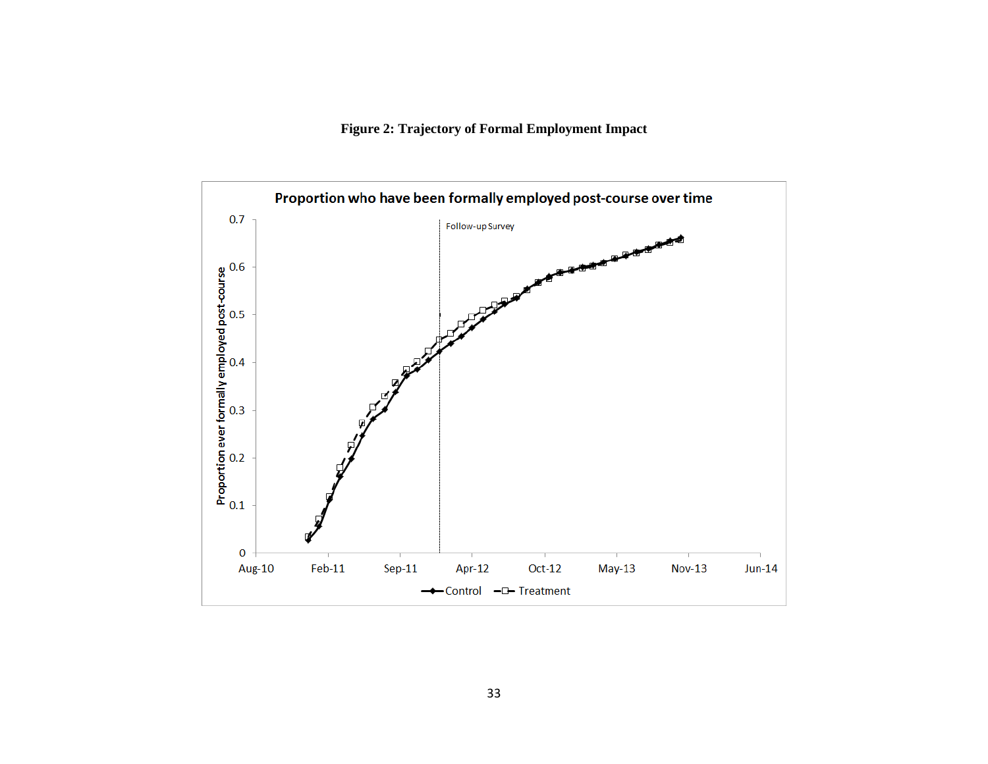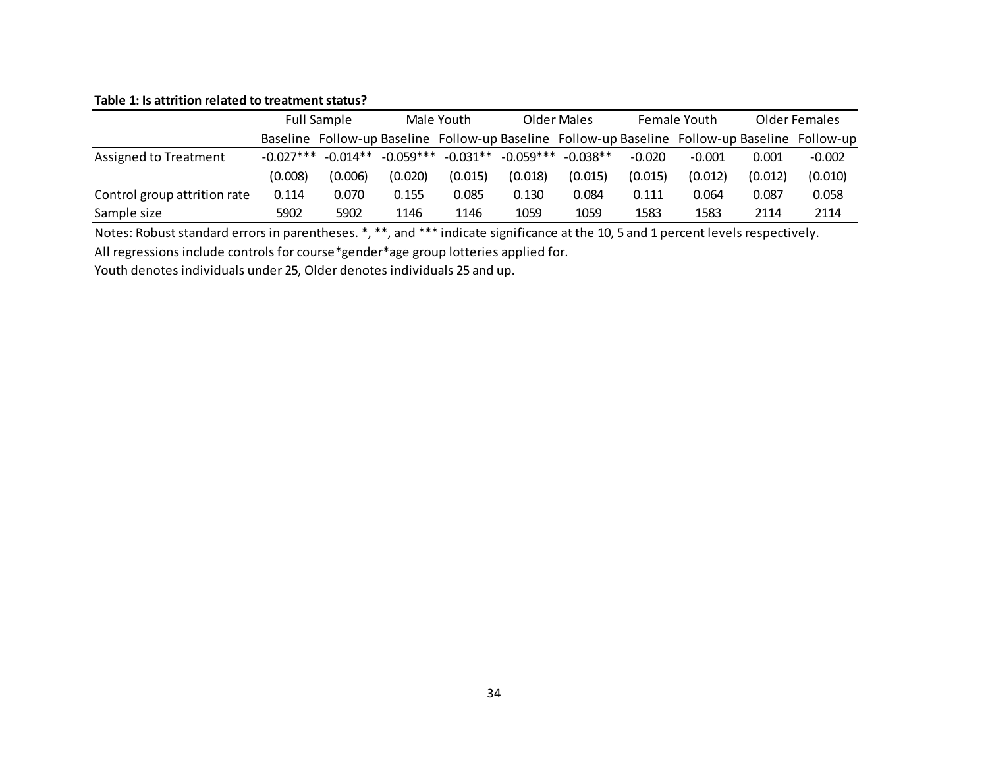# **Table 1: Is attrition related to treatment status?**

|                              | <b>Full Sample</b> |            |             | Male Youth |           | Older Males |          | Female Youth |         | Older Females                                                                                  |  |
|------------------------------|--------------------|------------|-------------|------------|-----------|-------------|----------|--------------|---------|------------------------------------------------------------------------------------------------|--|
|                              |                    |            |             |            |           |             |          |              |         | Baseline Follow-up Baseline Follow-up Baseline Follow-up Baseline Follow-up Baseline Follow-up |  |
| Assigned to Treatment        | $-0.027***$        | $-0.014**$ | $-0.059***$ | $-0.031**$ | -0.059*** | $-0.038**$  | $-0.020$ | $-0.001$     | 0.001   | $-0.002$                                                                                       |  |
|                              | (0.008)            | (0.006)    | (0.020)     | (0.015)    | (0.018)   | (0.015)     | (0.015)  | (0.012)      | (0.012) | (0.010)                                                                                        |  |
| Control group attrition rate | 0.114              | 0.070      | 0.155       | 0.085      | 0.130     | 0.084       | 0.111    | 0.064        | 0.087   | 0.058                                                                                          |  |
| Sample size                  | 5902               | 5902       | 1146        | 1146       | 1059      | 1059        | 1583     | 1583         | 2114    | 2114                                                                                           |  |

Notes: Robust standard errors in parentheses. \*, \*\*, and \*\*\* indicate significance at the 10, 5 and 1 percent levels respectively.

All regressions include controls for course\*gender\*age group lotteries applied for.

Youth denotes individuals under 25, Older denotes individuals 25 and up.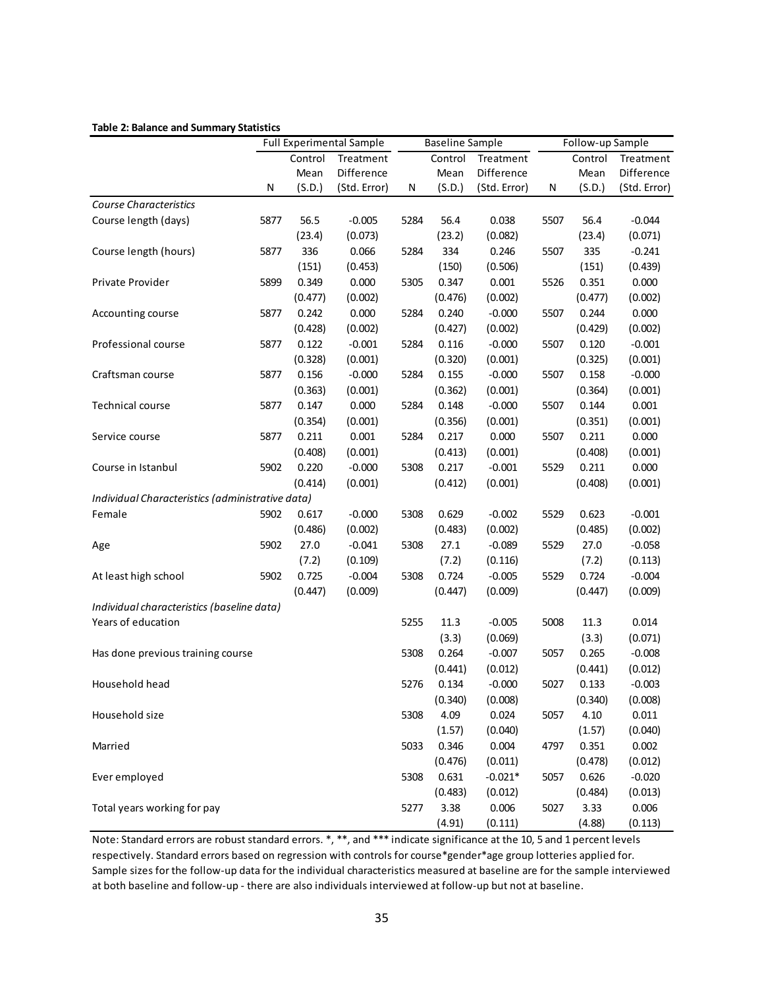| <b>Table 2: Balance and Summary Statistics</b> |
|------------------------------------------------|
|------------------------------------------------|

|                                                  |      |         | <b>Full Experimental Sample</b> |      | <b>Baseline Sample</b> |              | Follow-up Sample |         |              |
|--------------------------------------------------|------|---------|---------------------------------|------|------------------------|--------------|------------------|---------|--------------|
|                                                  |      | Control | Treatment                       |      | Control                | Treatment    |                  | Control | Treatment    |
|                                                  |      | Mean    | Difference                      |      | Mean                   | Difference   |                  | Mean    | Difference   |
|                                                  | N    | (S.D.)  | (Std. Error)                    | N    | (S.D.)                 | (Std. Error) | N                | (S.D.)  | (Std. Error) |
| Course Characteristics                           |      |         |                                 |      |                        |              |                  |         |              |
| Course length (days)                             | 5877 | 56.5    | $-0.005$                        | 5284 | 56.4                   | 0.038        | 5507             | 56.4    | $-0.044$     |
|                                                  |      | (23.4)  | (0.073)                         |      | (23.2)                 | (0.082)      |                  | (23.4)  | (0.071)      |
| Course length (hours)                            | 5877 | 336     | 0.066                           | 5284 | 334                    | 0.246        | 5507             | 335     | $-0.241$     |
|                                                  |      | (151)   | (0.453)                         |      | (150)                  | (0.506)      |                  | (151)   | (0.439)      |
| Private Provider                                 | 5899 | 0.349   | 0.000                           | 5305 | 0.347                  | 0.001        | 5526             | 0.351   | 0.000        |
|                                                  |      | (0.477) | (0.002)                         |      | (0.476)                | (0.002)      |                  | (0.477) | (0.002)      |
| Accounting course                                | 5877 | 0.242   | 0.000                           | 5284 | 0.240                  | $-0.000$     | 5507             | 0.244   | 0.000        |
|                                                  |      | (0.428) | (0.002)                         |      | (0.427)                | (0.002)      |                  | (0.429) | (0.002)      |
| Professional course                              | 5877 | 0.122   | $-0.001$                        | 5284 | 0.116                  | $-0.000$     | 5507             | 0.120   | $-0.001$     |
|                                                  |      | (0.328) | (0.001)                         |      | (0.320)                | (0.001)      |                  | (0.325) | (0.001)      |
| Craftsman course                                 | 5877 | 0.156   | $-0.000$                        | 5284 | 0.155                  | $-0.000$     | 5507             | 0.158   | $-0.000$     |
|                                                  |      | (0.363) | (0.001)                         |      | (0.362)                | (0.001)      |                  | (0.364) | (0.001)      |
| <b>Technical course</b>                          | 5877 | 0.147   | 0.000                           | 5284 | 0.148                  | $-0.000$     | 5507             | 0.144   | 0.001        |
|                                                  |      | (0.354) | (0.001)                         |      | (0.356)                | (0.001)      |                  | (0.351) | (0.001)      |
| Service course                                   | 5877 | 0.211   | 0.001                           | 5284 | 0.217                  | 0.000        | 5507             | 0.211   | 0.000        |
|                                                  |      | (0.408) | (0.001)                         |      | (0.413)                | (0.001)      |                  | (0.408) | (0.001)      |
| Course in Istanbul                               | 5902 | 0.220   | $-0.000$                        | 5308 | 0.217                  | $-0.001$     | 5529             | 0.211   | 0.000        |
|                                                  |      | (0.414) | (0.001)                         |      | (0.412)                | (0.001)      |                  | (0.408) | (0.001)      |
| Individual Characteristics (administrative data) |      |         |                                 |      |                        |              |                  |         |              |
| Female                                           | 5902 | 0.617   | $-0.000$                        | 5308 | 0.629                  | $-0.002$     | 5529             | 0.623   | $-0.001$     |
|                                                  |      | (0.486) | (0.002)                         |      | (0.483)                | (0.002)      |                  | (0.485) | (0.002)      |
| Age                                              | 5902 | 27.0    | $-0.041$                        | 5308 | 27.1                   | $-0.089$     | 5529             | 27.0    | $-0.058$     |
|                                                  |      | (7.2)   | (0.109)                         |      | (7.2)                  | (0.116)      |                  | (7.2)   | (0.113)      |
| At least high school                             | 5902 | 0.725   | $-0.004$                        | 5308 | 0.724                  | $-0.005$     | 5529             | 0.724   | $-0.004$     |
|                                                  |      | (0.447) | (0.009)                         |      | (0.447)                | (0.009)      |                  | (0.447) | (0.009)      |
| Individual characteristics (baseline data)       |      |         |                                 |      |                        |              |                  |         |              |
| Years of education                               |      |         |                                 | 5255 | 11.3                   | $-0.005$     | 5008             | 11.3    | 0.014        |
|                                                  |      |         |                                 |      | (3.3)                  | (0.069)      |                  | (3.3)   | (0.071)      |
| Has done previous training course                |      |         |                                 | 5308 | 0.264                  | $-0.007$     | 5057             | 0.265   | $-0.008$     |
|                                                  |      |         |                                 |      | (0.441)                | (0.012)      |                  | (0.441) | (0.012)      |
| Household head                                   |      |         |                                 | 5276 | 0.134                  | $-0.000$     | 5027             | 0.133   | $-0.003$     |
|                                                  |      |         |                                 |      | (0.340)                | (0.008)      |                  | (0.340) | (0.008)      |
| Household size                                   |      |         |                                 | 5308 | 4.09                   | 0.024        | 5057             | 4.10    | 0.011        |
|                                                  |      |         |                                 |      | (1.57)                 | (0.040)      |                  | (1.57)  | (0.040)      |
| Married                                          |      |         |                                 | 5033 | 0.346                  | 0.004        | 4797             | 0.351   | 0.002        |
|                                                  |      |         |                                 |      | (0.476)                | (0.011)      |                  | (0.478) | (0.012)      |
| Ever employed                                    |      |         |                                 | 5308 | 0.631                  | $-0.021*$    | 5057             | 0.626   | $-0.020$     |
|                                                  |      |         |                                 |      | (0.483)                | (0.012)      |                  | (0.484) | (0.013)      |
| Total years working for pay                      |      |         |                                 | 5277 | 3.38                   | 0.006        | 5027             | 3.33    | 0.006        |
|                                                  |      |         |                                 |      | (4.91)                 | (0.111)      |                  | (4.88)  | (0.113)      |

Note: Standard errors are robust standard errors. \*, \*\*, and \*\*\* indicate significance at the 10, 5 and 1 percent levels respectively. Standard errors based on regression with controls for course\*gender\*age group lotteries applied for. Sample sizes for the follow-up data for the individual characteristics measured at baseline are for the sample interviewed at both baseline and follow-up - there are also individuals interviewed at follow-up but not at baseline.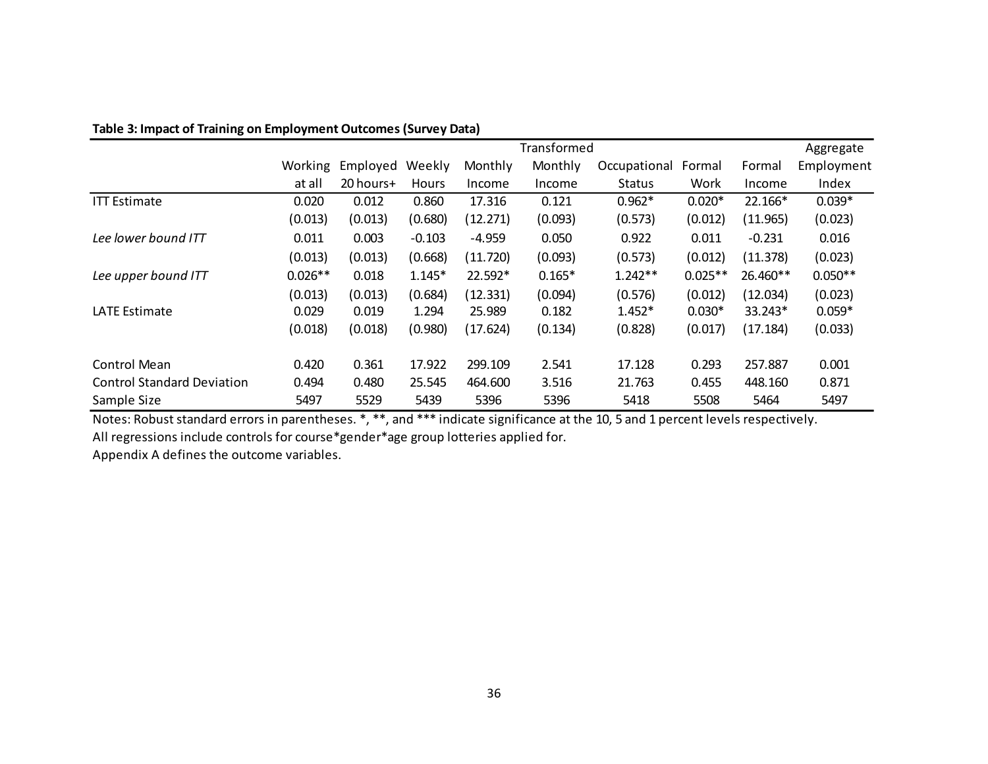|                                   | Transformed |           |              |          |          |               |           | Aggregate |            |
|-----------------------------------|-------------|-----------|--------------|----------|----------|---------------|-----------|-----------|------------|
|                                   | Working     | Employed  | Weekly       | Monthly  | Monthly  | Occupational  | Formal    | Formal    | Employment |
|                                   | at all      | 20 hours+ | <b>Hours</b> | Income   | Income   | <b>Status</b> | Work      | Income    | Index      |
| <b>ITT Estimate</b>               | 0.020       | 0.012     | 0.860        | 17.316   | 0.121    | $0.962*$      | $0.020*$  | 22.166*   | $0.039*$   |
|                                   | (0.013)     | (0.013)   | (0.680)      | (12.271) | (0.093)  | (0.573)       | (0.012)   | (11.965)  | (0.023)    |
| Lee lower bound ITT               | 0.011       | 0.003     | $-0.103$     | $-4.959$ | 0.050    | 0.922         | 0.011     | $-0.231$  | 0.016      |
|                                   | (0.013)     | (0.013)   | (0.668)      | (11.720) | (0.093)  | (0.573)       | (0.012)   | (11.378)  | (0.023)    |
| Lee upper bound ITT               | $0.026**$   | 0.018     | $1.145*$     | 22.592*  | $0.165*$ | $1.242**$     | $0.025**$ | 26.460**  | $0.050**$  |
|                                   | (0.013)     | (0.013)   | (0.684)      | (12.331) | (0.094)  | (0.576)       | (0.012)   | (12.034)  | (0.023)    |
| <b>LATE Estimate</b>              | 0.029       | 0.019     | 1.294        | 25.989   | 0.182    | $1.452*$      | $0.030*$  | 33.243*   | $0.059*$   |
|                                   | (0.018)     | (0.018)   | (0.980)      | (17.624) | (0.134)  | (0.828)       | (0.017)   | (17.184)  | (0.033)    |
| <b>Control Mean</b>               | 0.420       | 0.361     | 17.922       | 299.109  | 2.541    | 17.128        | 0.293     | 257.887   | 0.001      |
| <b>Control Standard Deviation</b> | 0.494       | 0.480     | 25.545       | 464.600  | 3.516    | 21.763        | 0.455     | 448.160   | 0.871      |
| Sample Size                       | 5497        | 5529      | 5439         | 5396     | 5396     | 5418          | 5508      | 5464      | 5497       |

# **Table 3: Impact of Training on Employment Outcomes (Survey Data)**

Notes: Robust standard errors in parentheses. \*, \*\*, and \*\*\* indicate significance at the 10, 5 and 1 percent levels respectively.

All regressions include controls for course\*gender\*age group lotteries applied for.

Appendix A defines the outcome variables.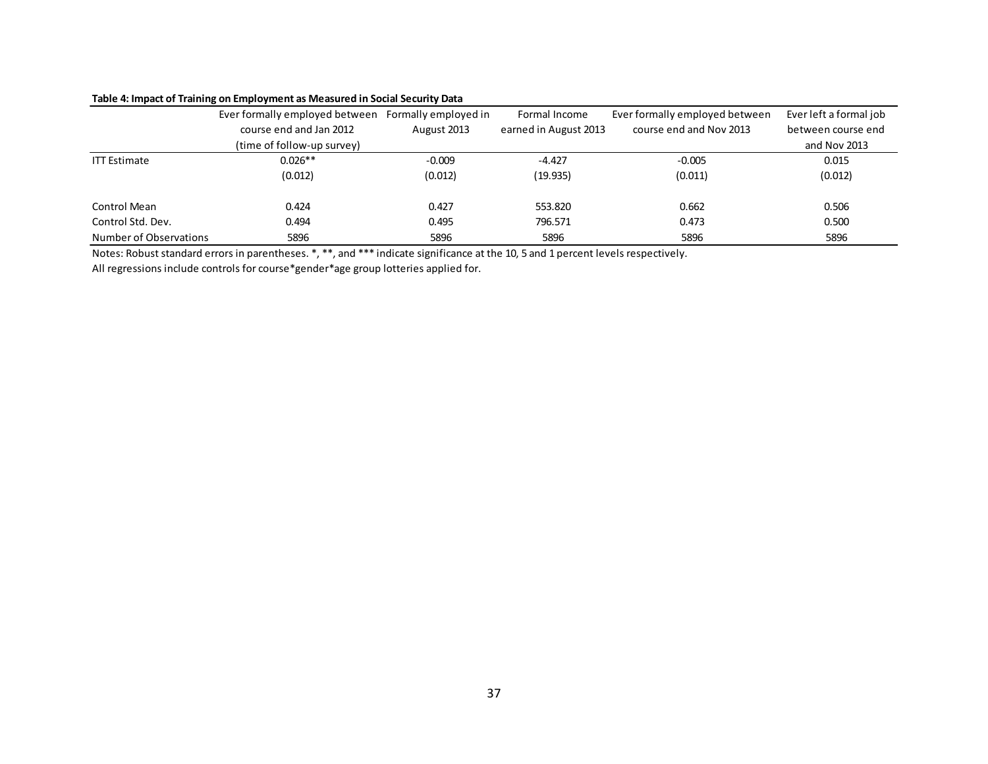|                        | Ever formally employed between | Formally employed in | Formal Income         | Ever formally employed between | Ever left a formal job |
|------------------------|--------------------------------|----------------------|-----------------------|--------------------------------|------------------------|
|                        | course end and Jan 2012        | August 2013          | earned in August 2013 | course end and Nov 2013        | between course end     |
|                        | (time of follow-up survey)     |                      |                       |                                | and Nov 2013           |
| <b>ITT Estimate</b>    | $0.026**$                      | $-0.009$             | $-4.427$              | $-0.005$                       | 0.015                  |
|                        | (0.012)                        | (0.012)              | (19.935)              | (0.011)                        | (0.012)                |
| Control Mean           | 0.424                          | 0.427                | 553.820               | 0.662                          | 0.506                  |
| Control Std. Dev.      | 0.494                          | 0.495                | 796.571               | 0.473                          | 0.500                  |
| Number of Observations | 5896                           | 5896                 | 5896                  | 5896                           | 5896                   |

# **Table 4: Impact of Training on Employment as Measured in Social Security Data**

Notes: Robust standard errors in parentheses. \*, \*\*, and \*\*\* indicate significance at the 10, 5 and 1 percent levels respectively.

All regressions include controls for course\*gender\*age group lotteries applied for.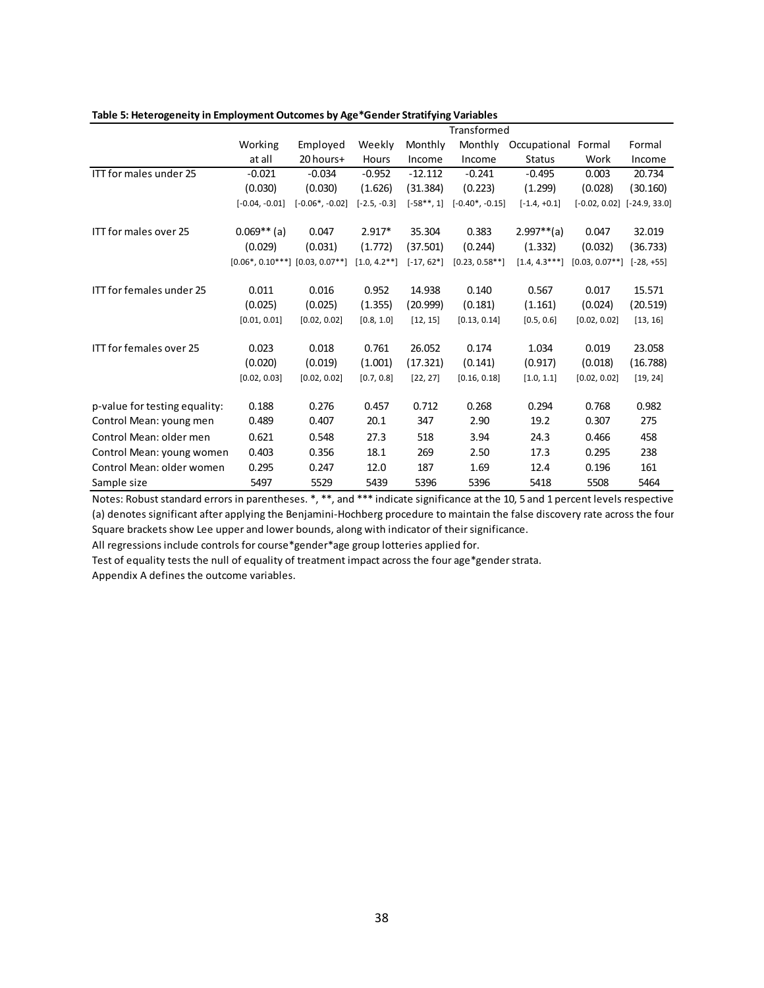|                               |                                     |                    |                |              | Transformed        |                     |                                 |              |
|-------------------------------|-------------------------------------|--------------------|----------------|--------------|--------------------|---------------------|---------------------------------|--------------|
|                               | Working                             | Employed           | Weekly         | Monthly      | Monthly            | Occupational Formal |                                 | Formal       |
|                               | at all                              | 20 hours+          | Hours          | Income       | Income             | <b>Status</b>       | Work                            | Income       |
| ITT for males under 25        | $-0.021$                            | $-0.034$           | $-0.952$       | $-12.112$    | $-0.241$           | $-0.495$            | 0.003                           | 20.734       |
|                               | (0.030)                             | (0.030)            | (1.626)        | (31.384)     | (0.223)            | (1.299)             | (0.028)                         | (30.160)     |
|                               | $[-0.04, -0.01]$                    | $[-0.06^*, -0.02]$ | $[-2.5, -0.3]$ | $[-58**, 1]$ | $[-0.40^*, -0.15]$ | $[-1.4, +0.1]$      | $[-0.02, 0.02]$ $[-24.9, 33.0]$ |              |
| ITT for males over 25         | $0.069**$ (a)                       | 0.047              | $2.917*$       | 35.304       | 0.383              | $2.997**$ (a)       | 0.047                           | 32.019       |
|                               | (0.029)                             | (0.031)            | (1.772)        | (37.501)     | (0.244)            | (1.332)             | (0.032)                         | (36.733)     |
|                               | $[0.06*, 0.10***]$ $[0.03, 0.07**]$ |                    | $[1.0, 4.2**]$ | $[-17, 62*]$ | $[0.23, 0.58**]$   | $[1.4, 4.3***]$     | $[0.03, 0.07**]$                | $[-28, +55]$ |
| ITT for females under 25      | 0.011                               | 0.016              | 0.952          | 14.938       | 0.140              | 0.567               | 0.017                           | 15.571       |
|                               | (0.025)                             | (0.025)            | (1.355)        | (20.999)     | (0.181)            | (1.161)             | (0.024)                         | (20.519)     |
|                               | [0.01, 0.01]                        | [0.02, 0.02]       | [0.8, 1.0]     | [12, 15]     | [0.13, 0.14]       | [0.5, 0.6]          | [0.02, 0.02]                    | [13, 16]     |
| ITT for females over 25       | 0.023                               | 0.018              | 0.761          | 26.052       | 0.174              | 1.034               | 0.019                           | 23.058       |
|                               | (0.020)                             | (0.019)            | (1.001)        | (17.321)     | (0.141)            | (0.917)             | (0.018)                         | (16.788)     |
|                               | [0.02, 0.03]                        | [0.02, 0.02]       | [0.7, 0.8]     | [22, 27]     | [0.16, 0.18]       | [1.0, 1.1]          | [0.02, 0.02]                    | [19, 24]     |
| p-value for testing equality: | 0.188                               | 0.276              | 0.457          | 0.712        | 0.268              | 0.294               | 0.768                           | 0.982        |
| Control Mean: young men       | 0.489                               | 0.407              | 20.1           | 347          | 2.90               | 19.2                | 0.307                           | 275          |
| Control Mean: older men       | 0.621                               | 0.548              | 27.3           | 518          | 3.94               | 24.3                | 0.466                           | 458          |
| Control Mean: young women     | 0.403                               | 0.356              | 18.1           | 269          | 2.50               | 17.3                | 0.295                           | 238          |
| Control Mean: older women     | 0.295                               | 0.247              | 12.0           | 187          | 1.69               | 12.4                | 0.196                           | 161          |
| Sample size                   | 5497                                | 5529               | 5439           | 5396         | 5396               | 5418                | 5508                            | 5464         |

#### **Table 5: Heterogeneity in Employment Outcomes by Age\*Gender Stratifying Variables**

Notes: Robust standard errors in parentheses. \*, \*\*, and \*\*\* indicate significance at the 10, 5 and 1 percent levels respective (a) denotes significant after applying the Benjamini-Hochberg procedure to maintain the false discovery rate across the four Square brackets show Lee upper and lower bounds, along with indicator of their significance.

All regressions include controls for course\*gender\*age group lotteries applied for.

Test of equality tests the null of equality of treatment impact across the four age\*gender strata. Appendix A defines the outcome variables.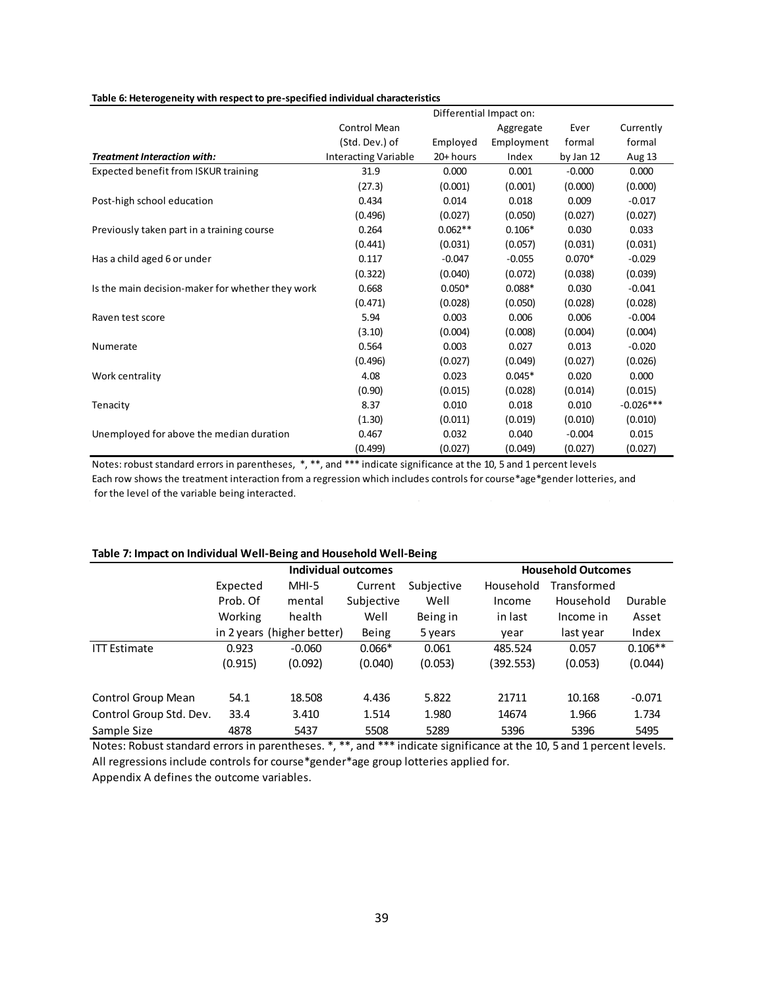#### **Table 6: Heterogeneity with respect to pre-specified individual characteristics**

|                                                  | Differential Impact on:     |           |            |           |             |  |
|--------------------------------------------------|-----------------------------|-----------|------------|-----------|-------------|--|
|                                                  | <b>Control Mean</b>         |           | Aggregate  | Ever      | Currently   |  |
|                                                  | (Std. Dev.) of              | Employed  | Employment | formal    | formal      |  |
| <b>Treatment Interaction with:</b>               | <b>Interacting Variable</b> | 20+ hours | Index      | by Jan 12 | Aug 13      |  |
| Expected benefit from ISKUR training             | 31.9                        | 0.000     | 0.001      | $-0.000$  | 0.000       |  |
|                                                  | (27.3)                      | (0.001)   | (0.001)    | (0.000)   | (0.000)     |  |
| Post-high school education                       | 0.434                       | 0.014     | 0.018      | 0.009     | $-0.017$    |  |
|                                                  | (0.496)                     | (0.027)   | (0.050)    | (0.027)   | (0.027)     |  |
| Previously taken part in a training course       | 0.264                       | $0.062**$ | $0.106*$   | 0.030     | 0.033       |  |
|                                                  | (0.441)                     | (0.031)   | (0.057)    | (0.031)   | (0.031)     |  |
| Has a child aged 6 or under                      | 0.117                       | $-0.047$  | $-0.055$   | $0.070*$  | $-0.029$    |  |
|                                                  | (0.322)                     | (0.040)   | (0.072)    | (0.038)   | (0.039)     |  |
| Is the main decision-maker for whether they work | 0.668                       | $0.050*$  | $0.088*$   | 0.030     | $-0.041$    |  |
|                                                  | (0.471)                     | (0.028)   | (0.050)    | (0.028)   | (0.028)     |  |
| Raven test score                                 | 5.94                        | 0.003     | 0.006      | 0.006     | $-0.004$    |  |
|                                                  | (3.10)                      | (0.004)   | (0.008)    | (0.004)   | (0.004)     |  |
| Numerate                                         | 0.564                       | 0.003     | 0.027      | 0.013     | $-0.020$    |  |
|                                                  | (0.496)                     | (0.027)   | (0.049)    | (0.027)   | (0.026)     |  |
| Work centrality                                  | 4.08                        | 0.023     | $0.045*$   | 0.020     | 0.000       |  |
|                                                  | (0.90)                      | (0.015)   | (0.028)    | (0.014)   | (0.015)     |  |
| Tenacity                                         | 8.37                        | 0.010     | 0.018      | 0.010     | $-0.026***$ |  |
|                                                  | (1.30)                      | (0.011)   | (0.019)    | (0.010)   | (0.010)     |  |
| Unemployed for above the median duration         | 0.467                       | 0.032     | 0.040      | $-0.004$  | 0.015       |  |
|                                                  | (0.499)                     | (0.027)   | (0.049)    | (0.027)   | (0.027)     |  |

Notes: robust standard errors in parentheses, \*, \*\*, and \*\*\* indicate significance at the 10, 5 and 1 percent levels Each row shows the treatment interaction from a regression which includes controls for course\*age\*gender lotteries, and for the level of the variable being interacted.

#### **Table 7: Impact on Individual Well-Being and Household Well-Being**

|                         |          | <b>Individual outcomes</b> |            |            |           | <b>Household Outcomes</b> |           |  |  |
|-------------------------|----------|----------------------------|------------|------------|-----------|---------------------------|-----------|--|--|
|                         | Expected | MHI-5                      | Current    | Subjective | Household | Transformed               |           |  |  |
|                         | Prob. Of | mental                     | Subjective | Well       | Income    | Household                 | Durable   |  |  |
|                         | Working  | health                     | Well       | Being in   | in last   | Income in                 | Asset     |  |  |
|                         |          | in 2 years (higher better) | Being      | 5 years    | year      | last year                 | Index     |  |  |
| <b>ITT Estimate</b>     | 0.923    | $-0.060$                   | $0.066*$   | 0.061      | 485.524   | 0.057                     | $0.106**$ |  |  |
|                         | (0.915)  | (0.092)                    | (0.040)    | (0.053)    | (392.553) | (0.053)                   | (0.044)   |  |  |
|                         |          |                            |            |            |           |                           |           |  |  |
| Control Group Mean      | 54.1     | 18.508                     | 4.436      | 5.822      | 21711     | 10.168                    | $-0.071$  |  |  |
| Control Group Std. Dev. | 33.4     | 3.410                      | 1.514      | 1.980      | 14674     | 1.966                     | 1.734     |  |  |
| Sample Size             | 4878     | 5437                       | 5508       | 5289       | 5396      | 5396                      | 5495      |  |  |

Notes: Robust standard errors in parentheses. \*, \*\*, and \*\*\* indicate significance at the 10, 5 and 1 percent levels. All regressions include controls for course\*gender\*age group lotteries applied for.

Appendix A defines the outcome variables.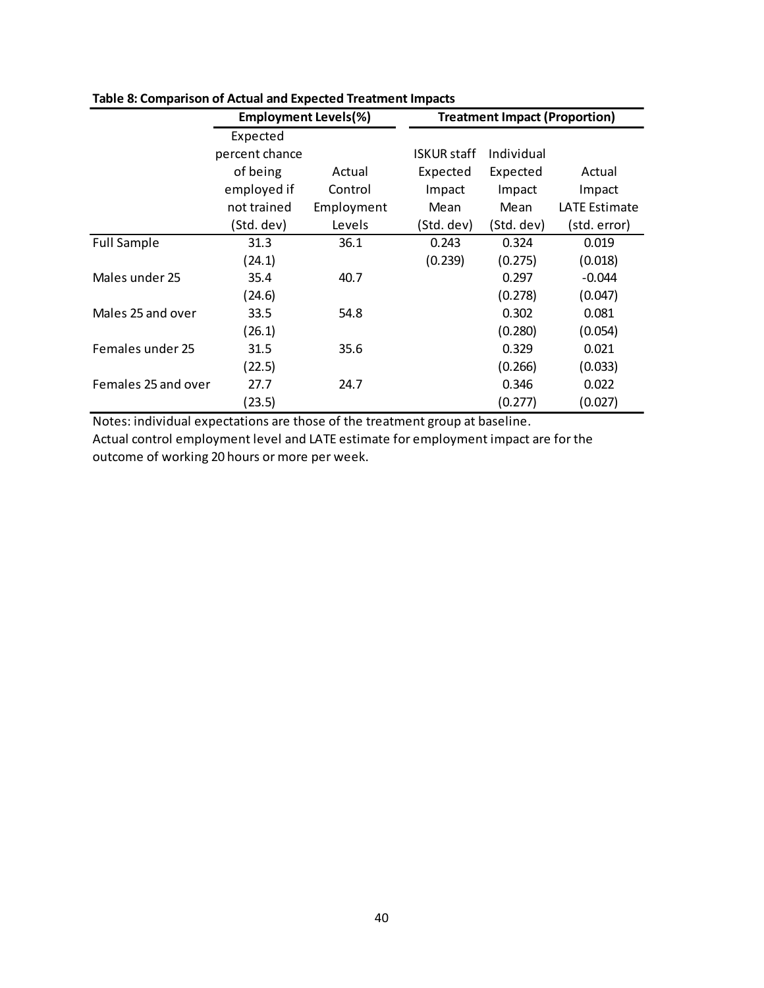|                     | <b>Employment Levels(%)</b> |            | <b>Treatment Impact (Proportion)</b> |            |                      |  |  |
|---------------------|-----------------------------|------------|--------------------------------------|------------|----------------------|--|--|
|                     | Expected                    |            |                                      |            |                      |  |  |
|                     | percent chance              |            | <b>ISKUR staff</b>                   | Individual |                      |  |  |
|                     | of being                    | Actual     | Expected                             | Expected   | Actual               |  |  |
|                     | employed if                 | Control    | Impact                               | Impact     | Impact               |  |  |
|                     | not trained                 | Employment | Mean                                 | Mean       | <b>LATE Estimate</b> |  |  |
|                     | (Std. dev)                  | Levels     | (Std. dev)                           | (Std. dev) | (std. error)         |  |  |
| <b>Full Sample</b>  | 31.3                        | 36.1       | 0.243                                | 0.324      | 0.019                |  |  |
|                     | (24.1)                      |            | (0.239)                              | (0.275)    | (0.018)              |  |  |
| Males under 25      | 35.4                        | 40.7       |                                      | 0.297      | $-0.044$             |  |  |
|                     | (24.6)                      |            |                                      | (0.278)    | (0.047)              |  |  |
| Males 25 and over   | 33.5                        | 54.8       |                                      | 0.302      | 0.081                |  |  |
|                     | (26.1)                      |            |                                      | (0.280)    | (0.054)              |  |  |
| Females under 25    | 31.5                        | 35.6       |                                      | 0.329      | 0.021                |  |  |
|                     | (22.5)                      |            |                                      | (0.266)    | (0.033)              |  |  |
| Females 25 and over | 27.7                        | 24.7       |                                      | 0.346      | 0.022                |  |  |
|                     | (23.5)                      |            |                                      | (0.277)    | (0.027)              |  |  |

# **Table 8: Comparison of Actual and Expected Treatment Impacts**

Notes: individual expectations are those of the treatment group at baseline. Actual control employment level and LATE estimate for employment impact are for the outcome of working 20 hours or more per week.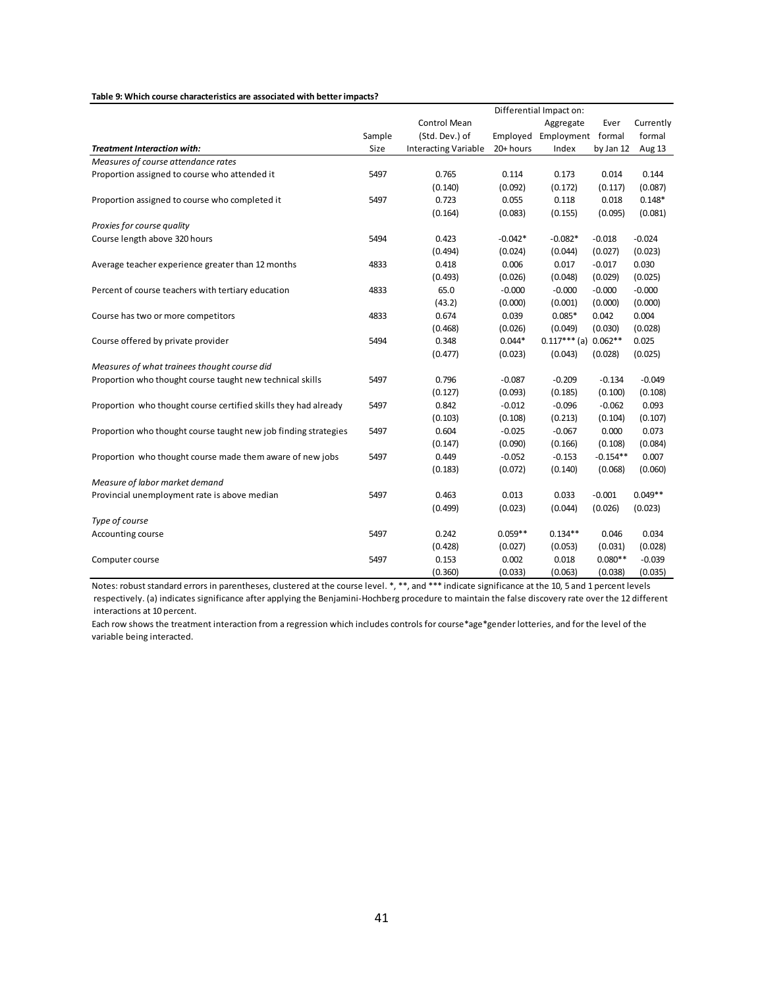| rable 5. Which course characteristics are associated with better impacts: |        |                             | Differential Impact on: |                            |            |           |
|---------------------------------------------------------------------------|--------|-----------------------------|-------------------------|----------------------------|------------|-----------|
|                                                                           |        | Control Mean                |                         | Aggregate                  | Ever       | Currently |
|                                                                           | Sample | (Std. Dev.) of              |                         | Employed Employment formal |            | formal    |
| <b>Treatment Interaction with:</b>                                        | Size   | <b>Interacting Variable</b> | 20+ hours               | Index                      | by Jan 12  | Aug 13    |
| Measures of course attendance rates                                       |        |                             |                         |                            |            |           |
| Proportion assigned to course who attended it                             | 5497   | 0.765                       | 0.114                   | 0.173                      | 0.014      | 0.144     |
|                                                                           |        | (0.140)                     | (0.092)                 | (0.172)                    | (0.117)    | (0.087)   |
| Proportion assigned to course who completed it                            | 5497   | 0.723                       | 0.055                   | 0.118                      | 0.018      | $0.148*$  |
|                                                                           |        | (0.164)                     | (0.083)                 | (0.155)                    | (0.095)    | (0.081)   |
| Proxies for course quality                                                |        |                             |                         |                            |            |           |
| Course length above 320 hours                                             | 5494   | 0.423                       | $-0.042*$               | $-0.082*$                  | $-0.018$   | $-0.024$  |
|                                                                           |        | (0.494)                     | (0.024)                 | (0.044)                    | (0.027)    | (0.023)   |
| Average teacher experience greater than 12 months                         | 4833   | 0.418                       | 0.006                   | 0.017                      | $-0.017$   | 0.030     |
|                                                                           |        | (0.493)                     | (0.026)                 | (0.048)                    | (0.029)    | (0.025)   |
| Percent of course teachers with tertiary education                        | 4833   | 65.0                        | $-0.000$                | $-0.000$                   | $-0.000$   | $-0.000$  |
|                                                                           |        | (43.2)                      | (0.000)                 | (0.001)                    | (0.000)    | (0.000)   |
| Course has two or more competitors                                        | 4833   | 0.674                       | 0.039                   | $0.085*$                   | 0.042      | 0.004     |
|                                                                           |        | (0.468)                     | (0.026)                 | (0.049)                    | (0.030)    | (0.028)   |
| Course offered by private provider                                        | 5494   | 0.348                       | $0.044*$                | $0.117***$ (a) $0.062**$   |            | 0.025     |
|                                                                           |        | (0.477)                     | (0.023)                 | (0.043)                    | (0.028)    | (0.025)   |
| Measures of what trainees thought course did                              |        |                             |                         |                            |            |           |
| Proportion who thought course taught new technical skills                 | 5497   | 0.796                       | $-0.087$                | $-0.209$                   | $-0.134$   | $-0.049$  |
|                                                                           |        | (0.127)                     | (0.093)                 | (0.185)                    | (0.100)    | (0.108)   |
| Proportion who thought course certified skills they had already           | 5497   | 0.842                       | $-0.012$                | $-0.096$                   | $-0.062$   | 0.093     |
|                                                                           |        | (0.103)                     | (0.108)                 | (0.213)                    | (0.104)    | (0.107)   |
| Proportion who thought course taught new job finding strategies           | 5497   | 0.604                       | $-0.025$                | $-0.067$                   | 0.000      | 0.073     |
|                                                                           |        | (0.147)                     | (0.090)                 | (0.166)                    | (0.108)    | (0.084)   |
| Proportion who thought course made them aware of new jobs                 | 5497   | 0.449                       | $-0.052$                | $-0.153$                   | $-0.154**$ | 0.007     |
|                                                                           |        | (0.183)                     | (0.072)                 | (0.140)                    | (0.068)    | (0.060)   |
| Measure of labor market demand                                            |        |                             |                         |                            |            |           |
| Provincial unemployment rate is above median                              | 5497   | 0.463                       | 0.013                   | 0.033                      | $-0.001$   | $0.049**$ |
|                                                                           |        | (0.499)                     | (0.023)                 | (0.044)                    | (0.026)    | (0.023)   |
| Type of course                                                            |        |                             |                         |                            |            |           |
| Accounting course                                                         | 5497   | 0.242                       | $0.059**$               | $0.134**$                  | 0.046      | 0.034     |
|                                                                           |        | (0.428)                     | (0.027)                 | (0.053)                    | (0.031)    | (0.028)   |
| Computer course                                                           | 5497   | 0.153                       | 0.002                   | 0.018                      | $0.080**$  | $-0.039$  |
|                                                                           |        | (0.360)                     | (0.033)                 | (0.063)                    | (0.038)    | (0.035)   |

#### **Table 9: Which course characteristics are associated with better impacts?**

Notes: robust standard errors in parentheses, clustered at the course level. \*, \*\*, and \*\*\* indicate significance at the 10, 5 and 1 percent levels respectively. (a) indicates significance after applying the Benjamini-Hochberg procedure to maintain the false discovery rate over the 12 different interactions at 10 percent.

Each row shows the treatment interaction from a regression which includes controls for course\*age\*gender lotteries, and for the level of the variable being interacted.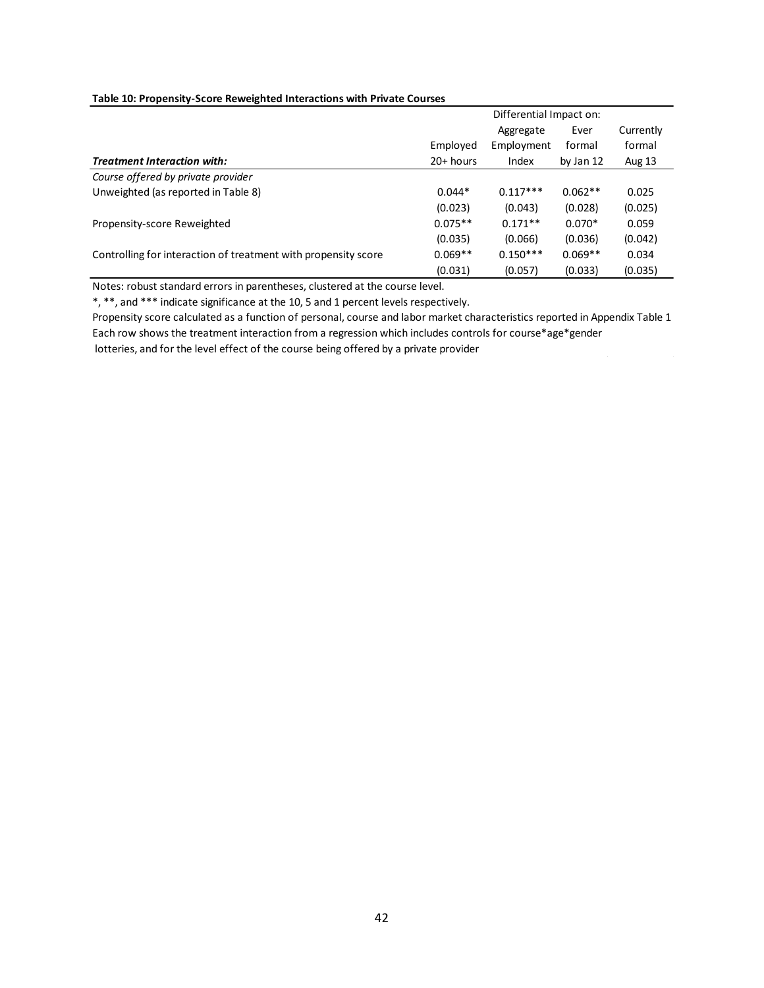#### **Table 10: Propensity-Score Reweighted Interactions with Private Courses**

|                                                                |             | Differential Impact on: |           |           |  |  |
|----------------------------------------------------------------|-------------|-------------------------|-----------|-----------|--|--|
|                                                                |             | Aggregate<br>Ever       |           | Currently |  |  |
|                                                                | Employed    | Employment              | formal    | formal    |  |  |
| <b>Treatment Interaction with:</b>                             | $20+$ hours | Index                   | by Jan 12 | Aug 13    |  |  |
| Course offered by private provider                             |             |                         |           |           |  |  |
| Unweighted (as reported in Table 8)                            | $0.044*$    | $0.117***$              | $0.062**$ | 0.025     |  |  |
|                                                                | (0.023)     | (0.043)                 | (0.028)   | (0.025)   |  |  |
| Propensity-score Reweighted                                    | $0.075**$   | $0.171**$               | $0.070*$  | 0.059     |  |  |
|                                                                | (0.035)     | (0.066)                 | (0.036)   | (0.042)   |  |  |
| Controlling for interaction of treatment with propensity score | $0.069**$   | $0.150***$              | $0.069**$ | 0.034     |  |  |
|                                                                | (0.031)     | (0.057)                 | (0.033)   | (0.035)   |  |  |

Notes: robust standard errors in parentheses, clustered at the course level.

\*, \*\*, and \*\*\* indicate significance at the 10, 5 and 1 percent levels respectively.

Propensity score calculated as a function of personal, course and labor market characteristics reported in Appendix Table 1 Each row shows the treatment interaction from a regression which includes controls for course\*age\*gender

lotteries, and for the level effect of the course being offered by a private provider